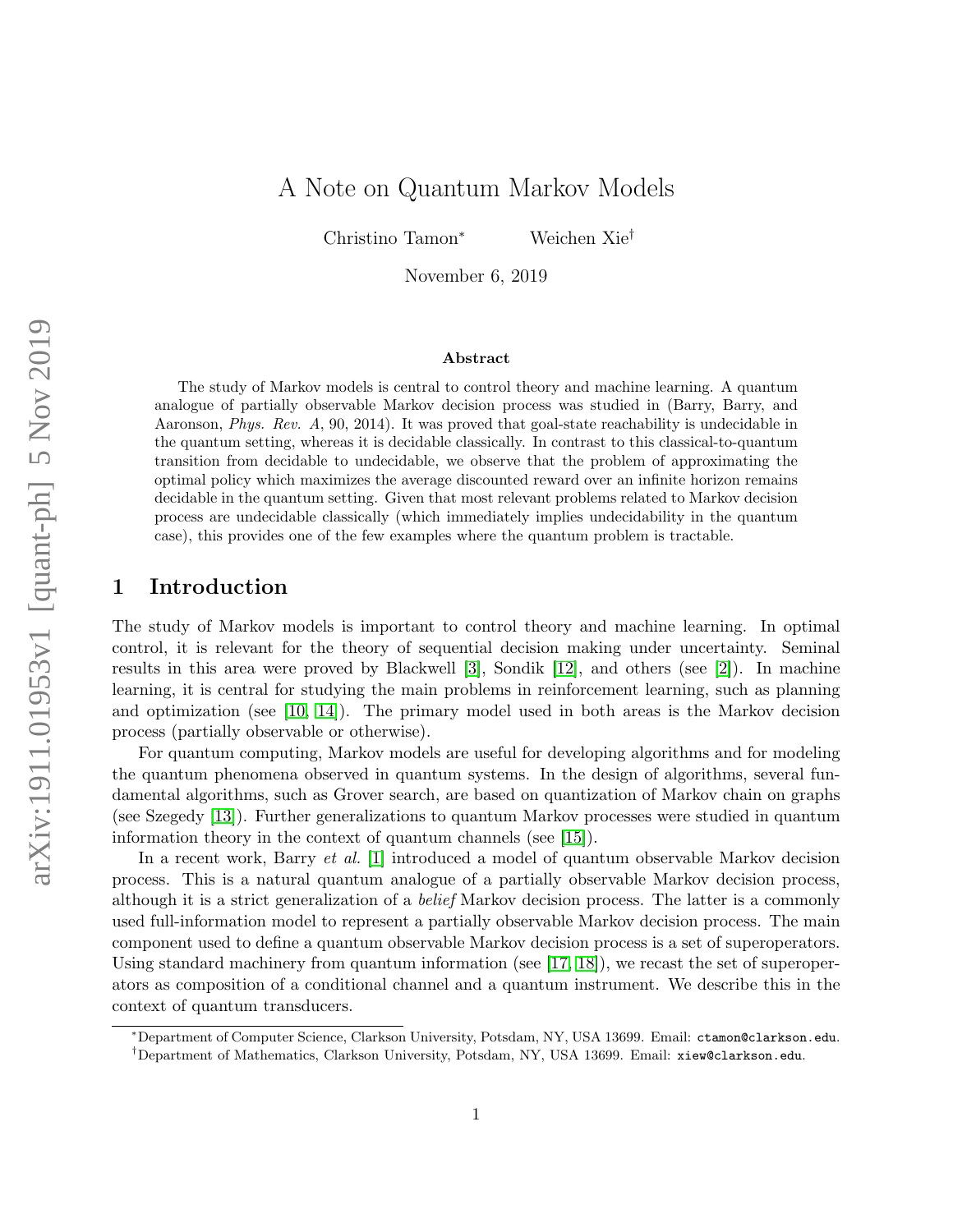# A Note on Quantum Markov Models

Christino Tamon<sup>∗</sup> Weichen Xie†

November 6, 2019

#### Abstract

The study of Markov models is central to control theory and machine learning. A quantum analogue of partially observable Markov decision process was studied in (Barry, Barry, and Aaronson, Phys. Rev. A, 90, 2014). It was proved that goal-state reachability is undecidable in the quantum setting, whereas it is decidable classically. In contrast to this classical-to-quantum transition from decidable to undecidable, we observe that the problem of approximating the optimal policy which maximizes the average discounted reward over an infinite horizon remains decidable in the quantum setting. Given that most relevant problems related to Markov decision process are undecidable classically (which immediately implies undecidability in the quantum case), this provides one of the few examples where the quantum problem is tractable.

### 1 Introduction

The study of Markov models is important to control theory and machine learning. In optimal control, it is relevant for the theory of sequential decision making under uncertainty. Seminal results in this area were proved by Blackwell [\[3\]](#page-14-0), Sondik [\[12\]](#page-14-1), and others (see [\[2\]](#page-14-2)). In machine learning, it is central for studying the main problems in reinforcement learning, such as planning and optimization (see [\[10,](#page-14-3) [14\]](#page-15-0)). The primary model used in both areas is the Markov decision process (partially observable or otherwise).

For quantum computing, Markov models are useful for developing algorithms and for modeling the quantum phenomena observed in quantum systems. In the design of algorithms, several fundamental algorithms, such as Grover search, are based on quantization of Markov chain on graphs (see Szegedy [\[13\]](#page-15-1)). Further generalizations to quantum Markov processes were studied in quantum information theory in the context of quantum channels (see [\[15\]](#page-15-2)).

In a recent work, Barry et al. [\[1\]](#page-14-4) introduced a model of quantum observable Markov decision process. This is a natural quantum analogue of a partially observable Markov decision process, although it is a strict generalization of a belief Markov decision process. The latter is a commonly used full-information model to represent a partially observable Markov decision process. The main component used to define a quantum observable Markov decision process is a set of superoperators. Using standard machinery from quantum information (see [\[17,](#page-15-3) [18\]](#page-15-4)), we recast the set of superoperators as composition of a conditional channel and a quantum instrument. We describe this in the context of quantum transducers.

<sup>∗</sup>Department of Computer Science, Clarkson University, Potsdam, NY, USA 13699. Email: ctamon@clarkson.edu.

<sup>†</sup>Department of Mathematics, Clarkson University, Potsdam, NY, USA 13699. Email: xiew@clarkson.edu.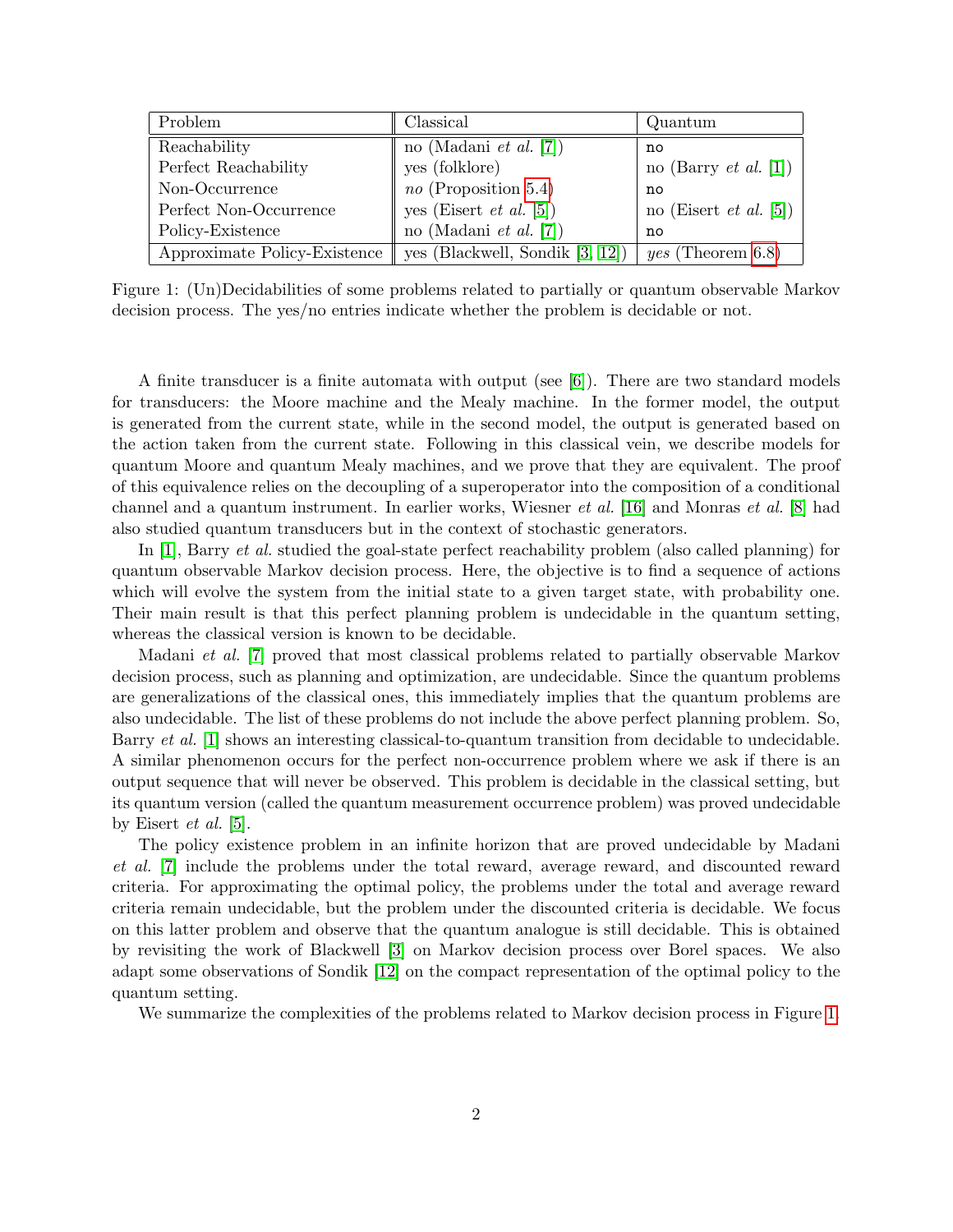| Problem                      | Classical                          | Quantum                       |
|------------------------------|------------------------------------|-------------------------------|
| Reachability                 | no (Madani <i>et al.</i> [7])      | no                            |
| Perfect Reachability         | yes (folklore)                     | no (Barry <i>et al.</i> [1])  |
| Non-Occurrence               | $no$ (Proposition 5.4)             | no                            |
| Perfect Non-Occurrence       | yes (Eisert et al. $[5]$ )         | no (Eisert <i>et al.</i> [5]) |
| Policy-Existence             | no (Madani <i>et al.</i> [7])      | no                            |
| Approximate Policy-Existence | yes (Blackwell, Sondik $[3, 12]$ ) | <i>yes</i> (Theorem $6.8$ )   |

<span id="page-1-0"></span>Figure 1: (Un)Decidabilities of some problems related to partially or quantum observable Markov decision process. The yes/no entries indicate whether the problem is decidable or not.

A finite transducer is a finite automata with output (see  $[6]$ ). There are two standard models for transducers: the Moore machine and the Mealy machine. In the former model, the output is generated from the current state, while in the second model, the output is generated based on the action taken from the current state. Following in this classical vein, we describe models for quantum Moore and quantum Mealy machines, and we prove that they are equivalent. The proof of this equivalence relies on the decoupling of a superoperator into the composition of a conditional channel and a quantum instrument. In earlier works, Wiesner et al. [\[16\]](#page-15-5) and Monras et al. [\[8\]](#page-14-8) had also studied quantum transducers but in the context of stochastic generators.

In [\[1\]](#page-14-4), Barry *et al.* studied the goal-state perfect reachability problem (also called planning) for quantum observable Markov decision process. Here, the objective is to find a sequence of actions which will evolve the system from the initial state to a given target state, with probability one. Their main result is that this perfect planning problem is undecidable in the quantum setting, whereas the classical version is known to be decidable.

Madani et al. [\[7\]](#page-14-5) proved that most classical problems related to partially observable Markov decision process, such as planning and optimization, are undecidable. Since the quantum problems are generalizations of the classical ones, this immediately implies that the quantum problems are also undecidable. The list of these problems do not include the above perfect planning problem. So, Barry *et al.* [\[1\]](#page-14-4) shows an interesting classical-to-quantum transition from decidable to undecidable. A similar phenomenon occurs for the perfect non-occurrence problem where we ask if there is an output sequence that will never be observed. This problem is decidable in the classical setting, but its quantum version (called the quantum measurement occurrence problem) was proved undecidable by Eisert et al. [\[5\]](#page-14-6).

The policy existence problem in an infinite horizon that are proved undecidable by Madani et al. [\[7\]](#page-14-5) include the problems under the total reward, average reward, and discounted reward criteria. For approximating the optimal policy, the problems under the total and average reward criteria remain undecidable, but the problem under the discounted criteria is decidable. We focus on this latter problem and observe that the quantum analogue is still decidable. This is obtained by revisiting the work of Blackwell [\[3\]](#page-14-0) on Markov decision process over Borel spaces. We also adapt some observations of Sondik [\[12\]](#page-14-1) on the compact representation of the optimal policy to the quantum setting.

We summarize the complexities of the problems related to Markov decision process in Figure [1.](#page-1-0)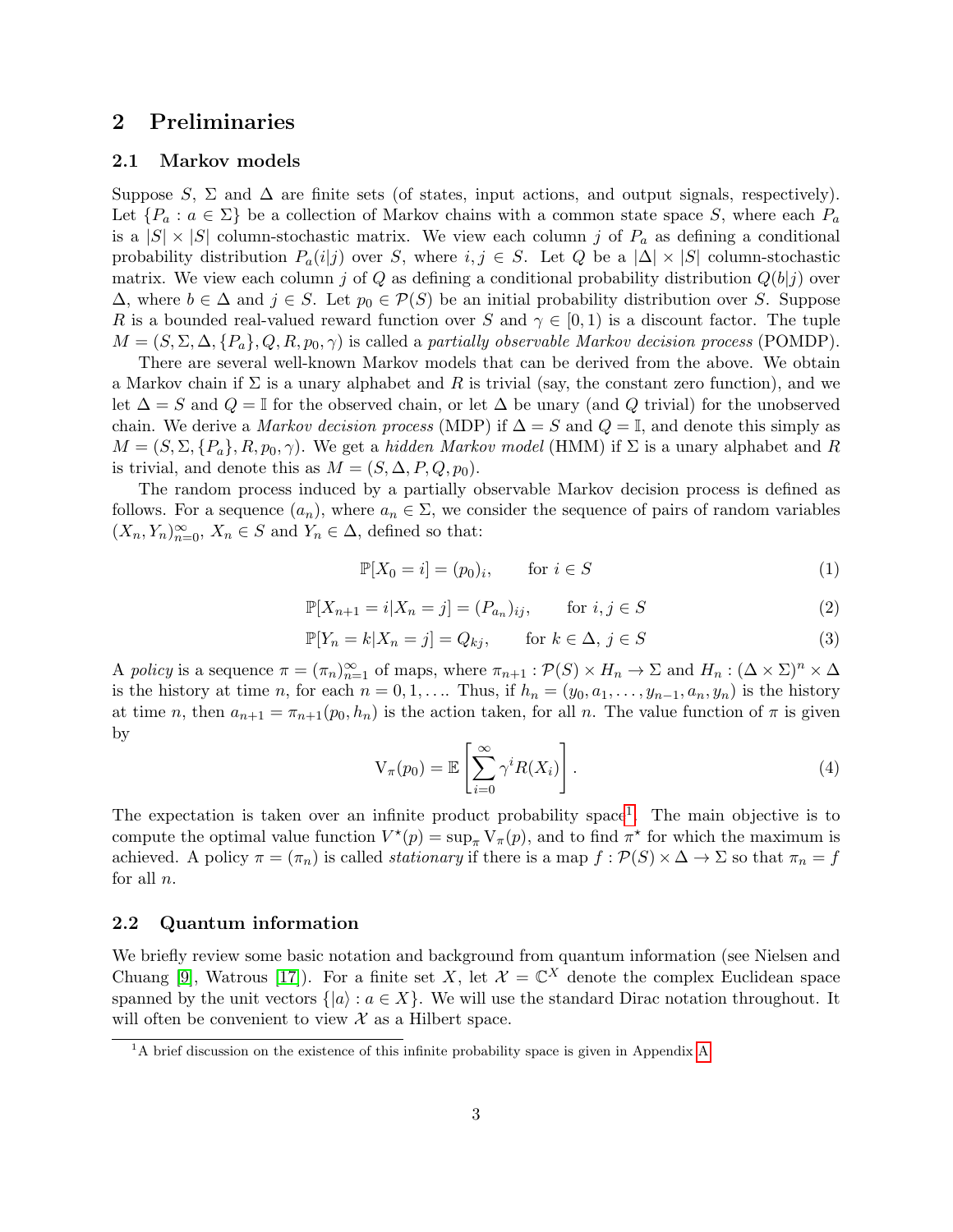# 2 Preliminaries

### 2.1 Markov models

Suppose S,  $\Sigma$  and  $\Delta$  are finite sets (of states, input actions, and output signals, respectively). Let  $\{P_a : a \in \Sigma\}$  be a collection of Markov chains with a common state space S, where each  $P_a$ is a  $|S| \times |S|$  column-stochastic matrix. We view each column j of  $P_a$  as defining a conditional probability distribution  $P_a(i|j)$  over S, where  $i, j \in S$ . Let Q be a  $|\Delta| \times |S|$  column-stochastic matrix. We view each column j of Q as defining a conditional probability distribution  $Q(b|j)$  over  $\Delta$ , where  $b \in \Delta$  and  $j \in S$ . Let  $p_0 \in \mathcal{P}(S)$  be an initial probability distribution over S. Suppose R is a bounded real-valued reward function over S and  $\gamma \in [0,1)$  is a discount factor. The tuple  $M = (S, \Sigma, \Delta, \{P_a\}, Q, R, p_0, \gamma)$  is called a partially observable Markov decision process (POMDP).

There are several well-known Markov models that can be derived from the above. We obtain a Markov chain if  $\Sigma$  is a unary alphabet and R is trivial (say, the constant zero function), and we let  $\Delta = S$  and  $Q = \mathbb{I}$  for the observed chain, or let  $\Delta$  be unary (and Q trivial) for the unobserved chain. We derive a Markov decision process (MDP) if  $\Delta = S$  and  $Q = \mathbb{I}$ , and denote this simply as  $M = (S, \Sigma, \{P_a\}, R, p_0, \gamma)$ . We get a hidden Markov model (HMM) if  $\Sigma$  is a unary alphabet and R is trivial, and denote this as  $M = (S, \Delta, P, Q, p_0)$ .

The random process induced by a partially observable Markov decision process is defined as follows. For a sequence  $(a_n)$ , where  $a_n \in \Sigma$ , we consider the sequence of pairs of random variables  $(X_n, Y_n)_{n=0}^{\infty}$ ,  $X_n \in S$  and  $Y_n \in \Delta$ , defined so that:

$$
\mathbb{P}[X_0 = i] = (p_0)_i, \qquad \text{for } i \in S \tag{1}
$$

$$
\mathbb{P}[X_{n+1} = i | X_n = j] = (P_{a_n})_{ij}, \qquad \text{for } i, j \in S
$$
\n
$$
(2)
$$

$$
\mathbb{P}[Y_n = k | X_n = j] = Q_{kj}, \qquad \text{for } k \in \Delta, j \in S \tag{3}
$$

A policy is a sequence  $\pi = (\pi_n)_{n=1}^{\infty}$  of maps, where  $\pi_{n+1} : \mathcal{P}(S) \times H_n \to \Sigma$  and  $H_n : (\Delta \times \Sigma)^n \times \Delta$ is the history at time n, for each  $n = 0, 1, \ldots$  Thus, if  $h_n = (y_0, a_1, \ldots, y_{n-1}, a_n, y_n)$  is the history at time n, then  $a_{n+1} = \pi_{n+1}(p_0, h_n)$  is the action taken, for all n. The value function of  $\pi$  is given by

$$
V_{\pi}(p_0) = \mathbb{E}\left[\sum_{i=0}^{\infty} \gamma^i R(X_i)\right].
$$
\n(4)

The expectation is taken over an infinite product probability space<sup>[1](#page-2-0)</sup>. The main objective is to compute the optimal value function  $V^*(p) = \sup_{\pi} V_{\pi}(p)$ , and to find  $\pi^*$  for which the maximum is achieved. A policy  $\pi = (\pi_n)$  is called *stationary* if there is a map  $f : \mathcal{P}(S) \times \Delta \to \Sigma$  so that  $\pi_n = f$ for all  $n$ .

### 2.2 Quantum information

We briefly review some basic notation and background from quantum information (see Nielsen and Chuang [\[9\]](#page-14-9), Watrous [\[17\]](#page-15-3)). For a finite set X, let  $\mathcal{X} = \mathbb{C}^X$  denote the complex Euclidean space spanned by the unit vectors  $\{|a\rangle : a \in X\}$ . We will use the standard Dirac notation throughout. It will often be convenient to view  $\mathcal X$  as a Hilbert space.

<span id="page-2-0"></span> ${}^{1}$ A brief discussion on the existence of this infinite probability space is given in [A](#page-16-0)ppendix A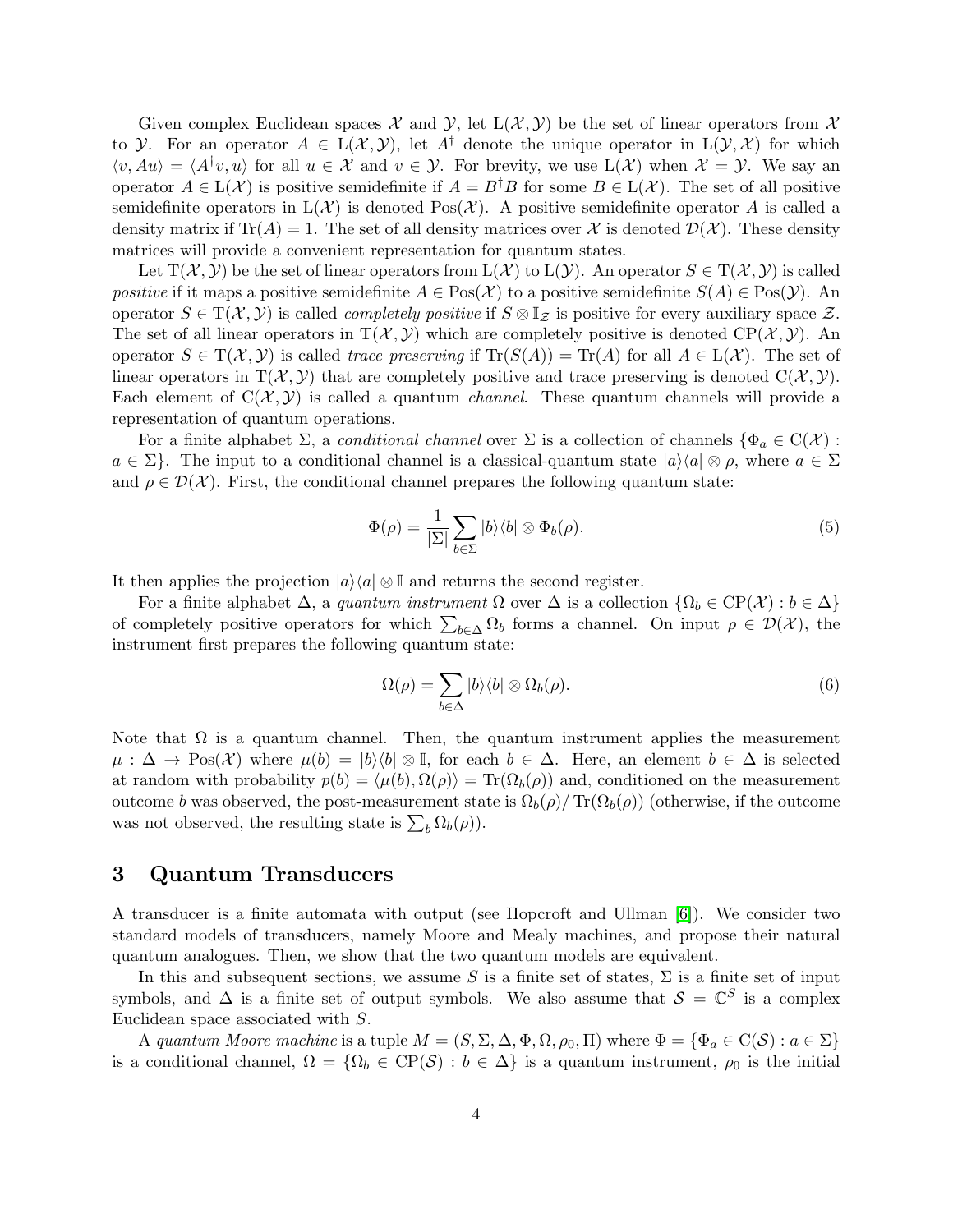Given complex Euclidean spaces X and Y, let  $L(\mathcal{X}, \mathcal{Y})$  be the set of linear operators from X to *Y*. For an operator  $A \in L(X, Y)$ , let  $A^{\dagger}$  denote the unique operator in  $L(Y, X)$  for which  $\langle v, Au \rangle = \langle A^{\dagger}v, u \rangle$  for all  $u \in \mathcal{X}$  and  $v \in \mathcal{Y}$ . For brevity, we use  $L(\mathcal{X})$  when  $\mathcal{X} = \mathcal{Y}$ . We say an operator  $A \in L(\mathcal{X})$  is positive semidefinite if  $A = B^{\dagger}B$  for some  $B \in L(\mathcal{X})$ . The set of all positive semidefinite operators in  $L(\mathcal{X})$  is denoted  $Pos(\mathcal{X})$ . A positive semidefinite operator A is called a density matrix if  $\text{Tr}(A) = 1$ . The set of all density matrices over X is denoted  $\mathcal{D}(\mathcal{X})$ . These density matrices will provide a convenient representation for quantum states.

Let  $T(\mathcal{X}, \mathcal{Y})$  be the set of linear operators from  $L(\mathcal{X})$  to  $L(\mathcal{Y})$ . An operator  $S \in T(\mathcal{X}, \mathcal{Y})$  is called positive if it maps a positive semidefinite  $A \in Pos(\mathcal{X})$  to a positive semidefinite  $S(A) \in Pos(\mathcal{Y})$ . An operator  $S \in T(\mathcal{X}, \mathcal{Y})$  is called *completely positive* if  $S \otimes \mathbb{I}_{\mathcal{Z}}$  is positive for every auxiliary space  $\mathcal{Z}$ . The set of all linear operators in  $T(\mathcal{X}, \mathcal{Y})$  which are completely positive is denoted  $CP(\mathcal{X}, \mathcal{Y})$ . An operator  $S \in T(\mathcal{X}, \mathcal{Y})$  is called trace preserving if  $Tr(S(A)) = Tr(A)$  for all  $A \in L(\mathcal{X})$ . The set of linear operators in  $T(\mathcal{X}, \mathcal{Y})$  that are completely positive and trace preserving is denoted  $C(\mathcal{X}, \mathcal{Y})$ . Each element of  $C(\mathcal{X}, \mathcal{Y})$  is called a quantum *channel*. These quantum channels will provide a representation of quantum operations.

For a finite alphabet  $\Sigma$ , a *conditional channel* over  $\Sigma$  is a collection of channels  $\{\Phi_a \in C(\mathcal{X})$ :  $a \in \Sigma$ . The input to a conditional channel is a classical-quantum state  $|a\rangle\langle a| \otimes \rho$ , where  $a \in \Sigma$ and  $\rho \in \mathcal{D}(\mathcal{X})$ . First, the conditional channel prepares the following quantum state:

$$
\Phi(\rho) = \frac{1}{|\Sigma|} \sum_{b \in \Sigma} |b\rangle\langle b| \otimes \Phi_b(\rho). \tag{5}
$$

It then applies the projection  $|a\rangle\langle a| \otimes \mathbb{I}$  and returns the second register.

For a finite alphabet  $\Delta$ , a quantum instrument  $\Omega$  over  $\Delta$  is a collection  $\{\Omega_b \in \text{CP}(\mathcal{X}) : b \in \Delta\}$ of completely positive operators for which  $\sum_{b\in\Delta}\Omega_b$  forms a channel. On input  $\rho \in \mathcal{D}(\mathcal{X})$ , the instrument first prepares the following quantum state:

$$
\Omega(\rho) = \sum_{b \in \Delta} |b\rangle\langle b| \otimes \Omega_b(\rho). \tag{6}
$$

Note that  $\Omega$  is a quantum channel. Then, the quantum instrument applies the measurement  $\mu : \Delta \to \text{Pos}(\mathcal{X})$  where  $\mu(b) = |b\rangle\langle b| \otimes \mathbb{I}$ , for each  $b \in \Delta$ . Here, an element  $b \in \Delta$  is selected at random with probability  $p(b) = \langle \mu(b), \Omega(\rho) \rangle = \text{Tr}(\Omega_b(\rho))$  and, conditioned on the measurement outcome b was observed, the post-measurement state is  $\Omega_b(\rho)$  Tr( $\Omega_b(\rho)$ ) (otherwise, if the outcome was not observed, the resulting state is  $\sum_b \Omega_b(\rho)$ .

### 3 Quantum Transducers

A transducer is a finite automata with output (see Hopcroft and Ullman [\[6\]](#page-14-7)). We consider two standard models of transducers, namely Moore and Mealy machines, and propose their natural quantum analogues. Then, we show that the two quantum models are equivalent.

In this and subsequent sections, we assume S is a finite set of states,  $\Sigma$  is a finite set of input symbols, and  $\Delta$  is a finite set of output symbols. We also assume that  $\mathcal{S} = \mathbb{C}^S$  is a complex Euclidean space associated with S.

A quantum Moore machine is a tuple  $M = (S, \Sigma, \Delta, \Phi, \Omega, \rho_0, \Pi)$  where  $\Phi = {\Phi_a \in C(S) : a \in \Sigma}$ is a conditional channel,  $\Omega = {\Omega_b \in \text{CP}(\mathcal{S}) : b \in \Delta}$  is a quantum instrument,  $\rho_0$  is the initial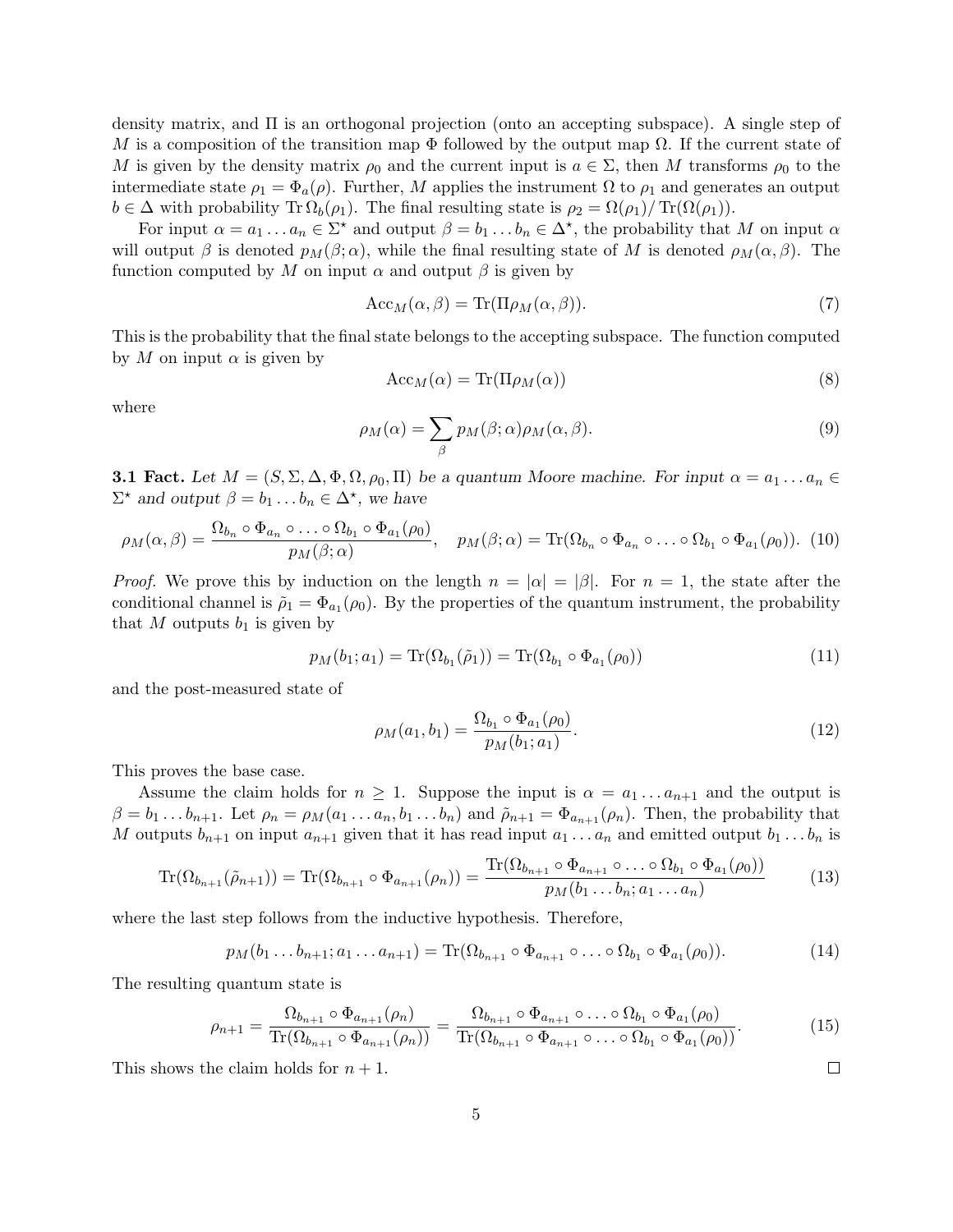density matrix, and Π is an orthogonal projection (onto an accepting subspace). A single step of M is a composition of the transition map  $\Phi$  followed by the output map  $\Omega$ . If the current state of M is given by the density matrix  $\rho_0$  and the current input is  $a \in \Sigma$ , then M transforms  $\rho_0$  to the intermediate state  $\rho_1 = \Phi_a(\rho)$ . Further, M applies the instrument  $\Omega$  to  $\rho_1$  and generates an output  $b \in \Delta$  with probability Tr  $\Omega_b(\rho_1)$ . The final resulting state is  $\rho_2 = \Omega(\rho_1)/\operatorname{Tr}(\Omega(\rho_1))$ .

For input  $\alpha = a_1 \dots a_n \in \Sigma^*$  and output  $\beta = b_1 \dots b_n \in \Delta^*$ , the probability that M on input  $\alpha$ will output  $\beta$  is denoted  $p_M(\beta;\alpha)$ , while the final resulting state of M is denoted  $\rho_M(\alpha,\beta)$ . The function computed by M on input  $\alpha$  and output  $\beta$  is given by

$$
Acc_M(\alpha, \beta) = Tr(\Pi \rho_M(\alpha, \beta)).
$$
\n(7)

This is the probability that the final state belongs to the accepting subspace. The function computed by M on input  $\alpha$  is given by

$$
Acc_M(\alpha) = Tr(\Pi \rho_M(\alpha))
$$
\n(8)

where

$$
\rho_M(\alpha) = \sum_{\beta} p_M(\beta; \alpha) \rho_M(\alpha, \beta). \tag{9}
$$

<span id="page-4-0"></span>**3.1 Fact.** Let  $M = (S, \Sigma, \Delta, \Phi, \Omega, \rho_0, \Pi)$  be a quantum Moore machine. For input  $\alpha = a_1 \dots a_n \in$  $\Sigma^*$  and output  $\beta = b_1 \dots b_n \in \Delta^*$ , we have

$$
\rho_M(\alpha,\beta) = \frac{\Omega_{b_n} \circ \Phi_{a_n} \circ \dots \circ \Omega_{b_1} \circ \Phi_{a_1}(\rho_0)}{p_M(\beta;\alpha)}, \quad p_M(\beta;\alpha) = \text{Tr}(\Omega_{b_n} \circ \Phi_{a_n} \circ \dots \circ \Omega_{b_1} \circ \Phi_{a_1}(\rho_0)). \tag{10}
$$

*Proof.* We prove this by induction on the length  $n = |\alpha| = |\beta|$ . For  $n = 1$ , the state after the conditional channel is  $\tilde{\rho}_1 = \Phi_{a_1}(\rho_0)$ . By the properties of the quantum instrument, the probability that M outputs  $b_1$  is given by

$$
p_M(b_1; a_1) = \text{Tr}(\Omega_{b_1}(\tilde{\rho}_1)) = \text{Tr}(\Omega_{b_1} \circ \Phi_{a_1}(\rho_0))
$$
\n(11)

and the post-measured state of

$$
\rho_M(a_1, b_1) = \frac{\Omega_{b_1} \circ \Phi_{a_1}(\rho_0)}{p_M(b_1; a_1)}.
$$
\n(12)

 $\Box$ 

This proves the base case.

Assume the claim holds for  $n \geq 1$ . Suppose the input is  $\alpha = a_1 \dots a_{n+1}$  and the output is  $\beta = b_1 \dots b_{n+1}$ . Let  $\rho_n = \rho_M(a_1 \dots a_n, b_1 \dots b_n)$  and  $\tilde{\rho}_{n+1} = \Phi_{a_{n+1}}(\rho_n)$ . Then, the probability that M outputs  $b_{n+1}$  on input  $a_{n+1}$  given that it has read input  $a_1 \ldots a_n$  and emitted output  $b_1 \ldots b_n$  is

$$
\operatorname{Tr}(\Omega_{b_{n+1}}(\tilde{\rho}_{n+1})) = \operatorname{Tr}(\Omega_{b_{n+1}} \circ \Phi_{a_{n+1}}(\rho_n)) = \frac{\operatorname{Tr}(\Omega_{b_{n+1}} \circ \Phi_{a_{n+1}} \circ \dots \circ \Omega_{b_1} \circ \Phi_{a_1}(\rho_0))}{p_M(b_1 \dots b_n; a_1 \dots a_n)}
$$
(13)

where the last step follows from the inductive hypothesis. Therefore,

$$
p_M(b_1...b_{n+1}; a_1...a_{n+1}) = \text{Tr}(\Omega_{b_{n+1}} \circ \Phi_{a_{n+1}} \circ ... \circ \Omega_{b_1} \circ \Phi_{a_1}(\rho_0)).
$$
\n(14)

The resulting quantum state is

$$
\rho_{n+1} = \frac{\Omega_{b_{n+1}} \circ \Phi_{a_{n+1}}(\rho_n)}{\text{Tr}(\Omega_{b_{n+1}} \circ \Phi_{a_{n+1}}(\rho_n))} = \frac{\Omega_{b_{n+1}} \circ \Phi_{a_{n+1}} \circ \dots \circ \Omega_{b_1} \circ \Phi_{a_1}(\rho_0)}{\text{Tr}(\Omega_{b_{n+1}} \circ \Phi_{a_{n+1}} \circ \dots \circ \Omega_{b_1} \circ \Phi_{a_1}(\rho_0))}.
$$
(15)

This shows the claim holds for  $n + 1$ .

5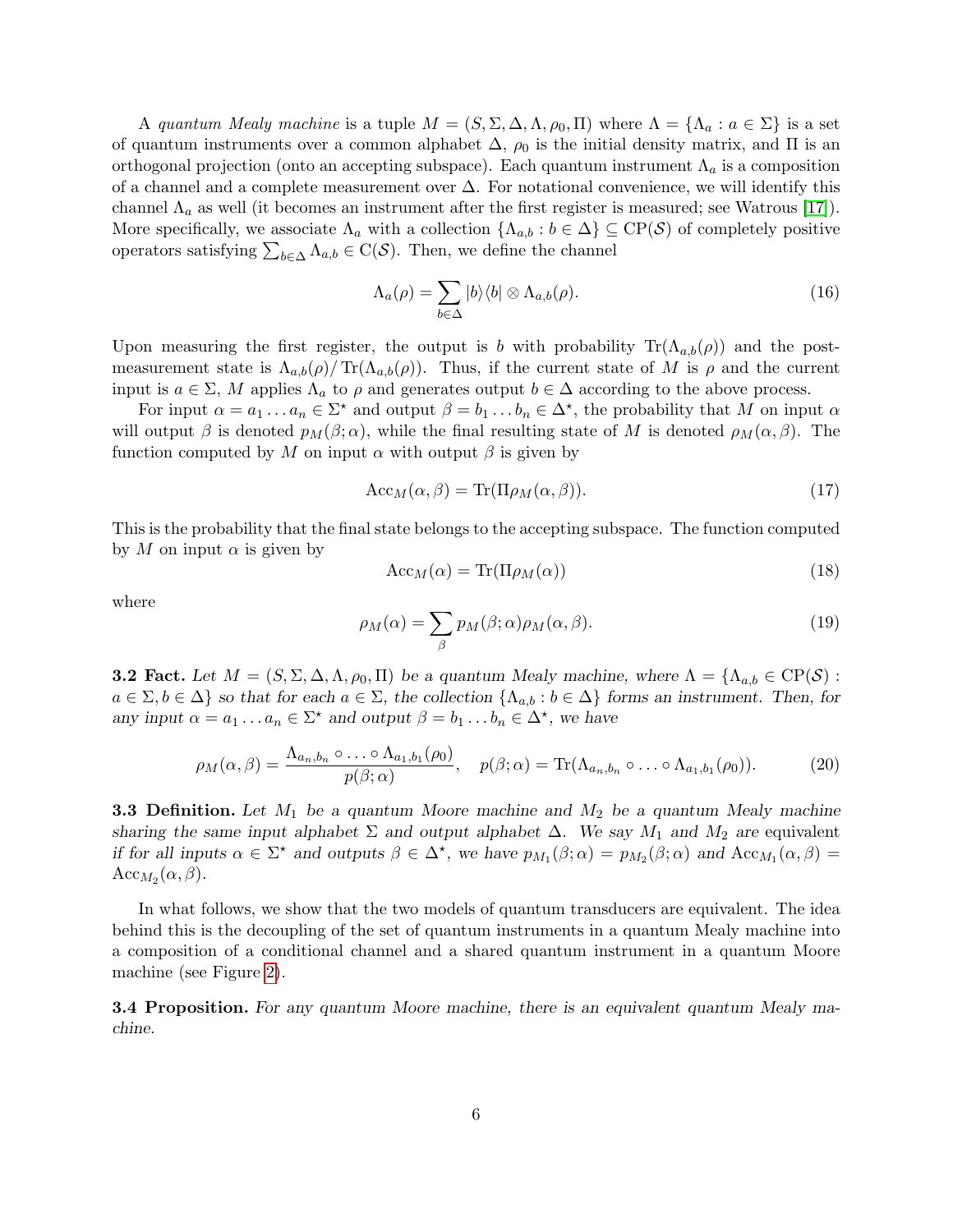A quantum Mealy machine is a tuple  $M = (S, \Sigma, \Delta, \Lambda, \rho_0, \Pi)$  where  $\Lambda = \{\Lambda_a : a \in \Sigma\}$  is a set of quantum instruments over a common alphabet  $\Delta$ ,  $\rho_0$  is the initial density matrix, and  $\Pi$  is an orthogonal projection (onto an accepting subspace). Each quantum instrument  $\Lambda_a$  is a composition of a channel and a complete measurement over ∆. For notational convenience, we will identify this channel  $\Lambda_a$  as well (it becomes an instrument after the first register is measured; see Watrous [\[17\]](#page-15-3)). More specifically, we associate  $\Lambda_a$  with a collection  $\{\Lambda_{a,b} : b \in \Delta\} \subseteq \text{CP}(\mathcal{S})$  of completely positive operators satisfying  $\sum_{b \in \Delta} \Lambda_{a,b} \in C(S)$ . Then, we define the channel

$$
\Lambda_a(\rho) = \sum_{b \in \Delta} |b\rangle\langle b| \otimes \Lambda_{a,b}(\rho). \tag{16}
$$

Upon measuring the first register, the output is b with probability  $\text{Tr}(\Lambda_{a,b}(\rho))$  and the postmeasurement state is  $\Lambda_{a,b}(\rho)/\text{Tr}(\Lambda_{a,b}(\rho)).$  Thus, if the current state of M is  $\rho$  and the current input is  $a \in \Sigma$ , M applies  $\Lambda_a$  to  $\rho$  and generates output  $b \in \Delta$  according to the above process.

For input  $\alpha = a_1 \dots a_n \in \Sigma^*$  and output  $\beta = b_1 \dots b_n \in \Delta^*$ , the probability that M on input  $\alpha$ will output  $\beta$  is denoted  $p_M(\beta;\alpha)$ , while the final resulting state of M is denoted  $\rho_M(\alpha,\beta)$ . The function computed by M on input  $\alpha$  with output  $\beta$  is given by

$$
Acc_M(\alpha, \beta) = Tr(\Pi \rho_M(\alpha, \beta)).
$$
\n(17)

This is the probability that the final state belongs to the accepting subspace. The function computed by M on input  $\alpha$  is given by

$$
Acc_M(\alpha) = Tr(\Pi \rho_M(\alpha))
$$
\n(18)

where

$$
\rho_M(\alpha) = \sum_{\beta} p_M(\beta; \alpha) \rho_M(\alpha, \beta). \tag{19}
$$

<span id="page-5-0"></span>**3.2 Fact.** Let  $M = (S, \Sigma, \Delta, \Lambda, \rho_0, \Pi)$  be a quantum Mealy machine, where  $\Lambda = \{\Lambda_{a,b} \in \text{CP}(\mathcal{S}) :$  $a \in \Sigma, b \in \Delta$  so that for each  $a \in \Sigma$ , the collection  $\{\Lambda_{a,b} : b \in \Delta\}$  forms an instrument. Then, for any input  $\alpha = a_1 \dots a_n \in \Sigma^*$  and output  $\beta = b_1 \dots b_n \in \Delta^*$ , we have

$$
\rho_M(\alpha,\beta) = \frac{\Lambda_{a_n,b_n} \circ \ldots \circ \Lambda_{a_1,b_1}(\rho_0)}{p(\beta;\alpha)}, \quad p(\beta;\alpha) = \text{Tr}(\Lambda_{a_n,b_n} \circ \ldots \circ \Lambda_{a_1,b_1}(\rho_0)).
$$
 (20)

**3.3 Definition.** Let  $M_1$  be a quantum Moore machine and  $M_2$  be a quantum Mealy machine sharing the same input alphabet  $\Sigma$  and output alphabet  $\Delta$ . We say  $M_1$  and  $M_2$  are equivalent if for all inputs  $\alpha \in \Sigma^*$  and outputs  $\beta \in \Delta^*$ , we have  $p_{M_1}(\beta; \alpha) = p_{M_2}(\beta; \alpha)$  and  $Acc_{M_1}(\alpha, \beta) =$  $Acc_{M_2}(\alpha, \beta).$ 

In what follows, we show that the two models of quantum transducers are equivalent. The idea behind this is the decoupling of the set of quantum instruments in a quantum Mealy machine into a composition of a conditional channel and a shared quantum instrument in a quantum Moore machine (see Figure [2\)](#page-6-0).

<span id="page-5-1"></span>**3.4 Proposition.** For any quantum Moore machine, there is an equivalent quantum Mealy machine.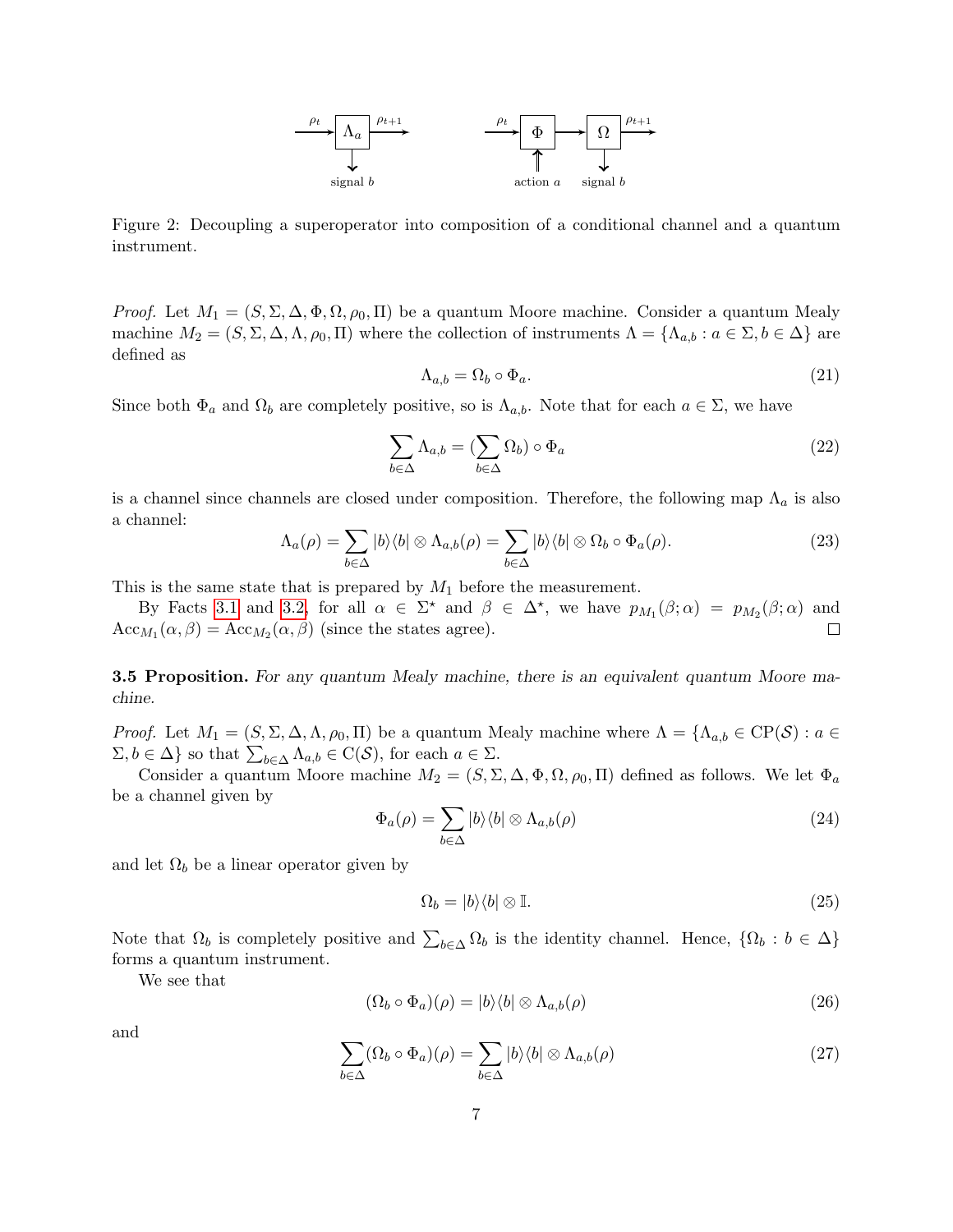

<span id="page-6-0"></span>Figure 2: Decoupling a superoperator into composition of a conditional channel and a quantum instrument.

*Proof.* Let  $M_1 = (S, \Sigma, \Delta, \Phi, \Omega, \rho_0, \Pi)$  be a quantum Moore machine. Consider a quantum Mealy machine  $M_2 = (S, \Sigma, \Delta, \Lambda, \rho_0, \Pi)$  where the collection of instruments  $\Lambda = {\Lambda_{a,b} : a \in \Sigma, b \in \Delta}$  are defined as

$$
\Lambda_{a,b} = \Omega_b \circ \Phi_a. \tag{21}
$$

Since both  $\Phi_a$  and  $\Omega_b$  are completely positive, so is  $\Lambda_{a,b}$ . Note that for each  $a \in \Sigma$ , we have

$$
\sum_{b \in \Delta} \Lambda_{a,b} = (\sum_{b \in \Delta} \Omega_b) \circ \Phi_a \tag{22}
$$

is a channel since channels are closed under composition. Therefore, the following map  $\Lambda_a$  is also a channel:

$$
\Lambda_a(\rho) = \sum_{b \in \Delta} |b\rangle\langle b| \otimes \Lambda_{a,b}(\rho) = \sum_{b \in \Delta} |b\rangle\langle b| \otimes \Omega_b \circ \Phi_a(\rho).
$$
 (23)

This is the same state that is prepared by  $M_1$  before the measurement.

By Facts [3.1](#page-4-0) and [3.2,](#page-5-0) for all  $\alpha \in \Sigma^*$  and  $\beta \in \Delta^*$ , we have  $p_{M_1}(\beta; \alpha) = p_{M_2}(\beta; \alpha)$  and  $Acc_{M_1}(\alpha, \beta) = Acc_{M_2}(\alpha, \beta)$  (since the states agree).  $\Box$ 

<span id="page-6-1"></span>**3.5 Proposition.** For any quantum Mealy machine, there is an equivalent quantum Moore machine.

*Proof.* Let  $M_1 = (S, \Sigma, \Delta, \Lambda, \rho_0, \Pi)$  be a quantum Mealy machine where  $\Lambda = {\Lambda_{a,b} \in CP(S) : a \in \Pi}$  $\Sigma, b \in \Delta$  so that  $\sum_{b \in \Delta} \Lambda_{a,b} \in C(S)$ , for each  $a \in \Sigma$ .

Consider a quantum Moore machine  $M_2 = (S, \Sigma, \Delta, \Phi, \Omega, \rho_0, \Pi)$  defined as follows. We let  $\Phi_a$ be a channel given by

$$
\Phi_a(\rho) = \sum_{b \in \Delta} |b\rangle\langle b| \otimes \Lambda_{a,b}(\rho) \tag{24}
$$

and let  $\Omega_b$  be a linear operator given by

$$
\Omega_b = |b\rangle\langle b| \otimes \mathbb{I}.\tag{25}
$$

Note that  $\Omega_b$  is completely positive and  $\sum_{b\in\Delta}\Omega_b$  is the identity channel. Hence,  $\{\Omega_b : b \in \Delta\}$ forms a quantum instrument.

We see that

$$
(\Omega_b \circ \Phi_a)(\rho) = |b\rangle\langle b| \otimes \Lambda_{a,b}(\rho)
$$
\n(26)

and

$$
\sum_{b \in \Delta} (\Omega_b \circ \Phi_a)(\rho) = \sum_{b \in \Delta} |b\rangle\langle b| \otimes \Lambda_{a,b}(\rho)
$$
 (27)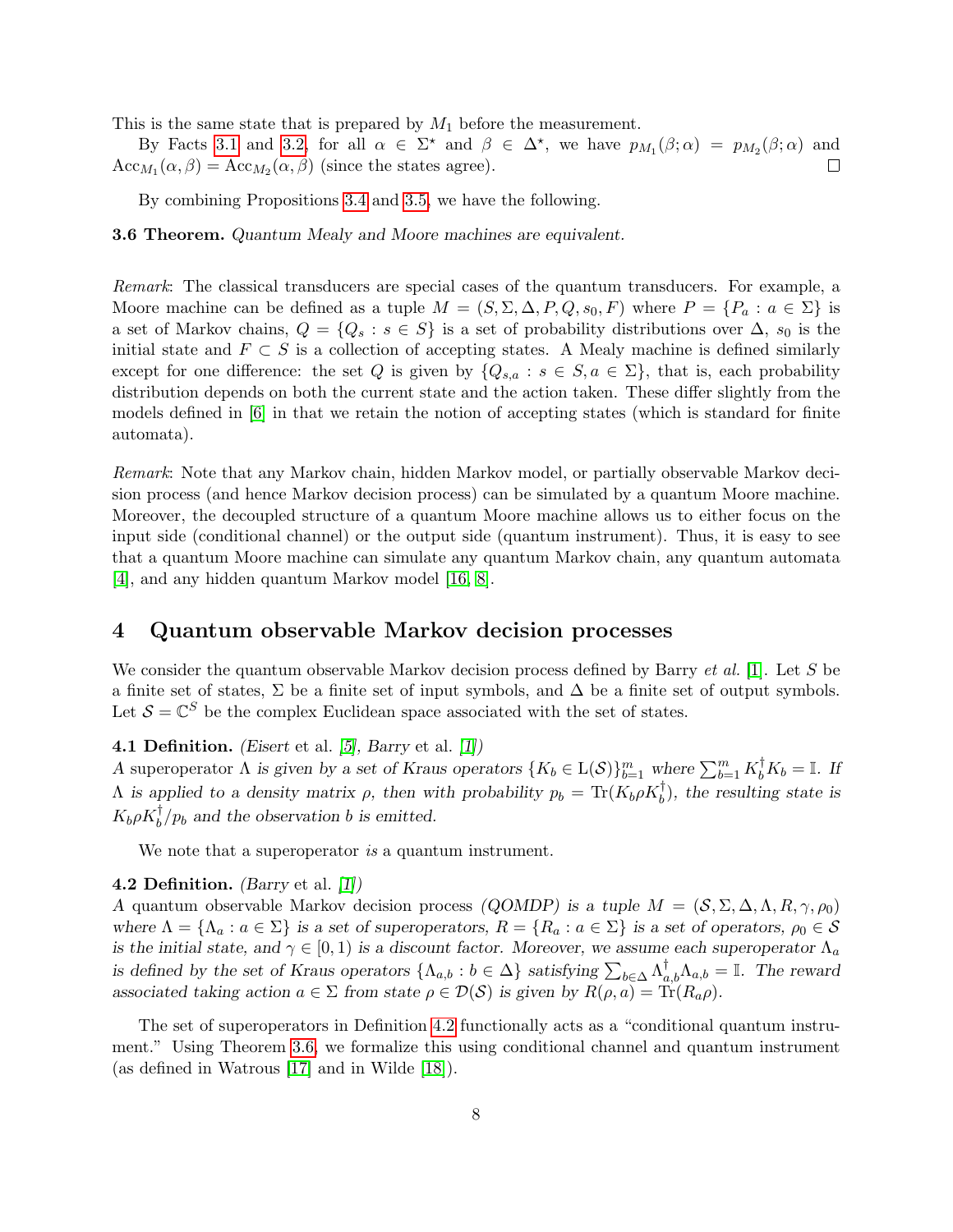This is the same state that is prepared by  $M_1$  before the measurement.

By Facts [3.1](#page-4-0) and [3.2,](#page-5-0) for all  $\alpha \in \Sigma^*$  and  $\beta \in \Delta^*$ , we have  $p_{M_1}(\beta; \alpha) = p_{M_2}(\beta; \alpha)$  and  $Acc_{M_1}(\alpha, \beta) = Acc_{M_2}(\alpha, \beta)$  (since the states agree).  $\Box$ 

By combining Propositions [3.4](#page-5-1) and [3.5,](#page-6-1) we have the following.

<span id="page-7-1"></span>3.6 Theorem. Quantum Mealy and Moore machines are equivalent.

Remark: The classical transducers are special cases of the quantum transducers. For example, a Moore machine can be defined as a tuple  $M = (S, \Sigma, \Delta, P, Q, s_0, F)$  where  $P = \{P_a : a \in \Sigma\}$  is a set of Markov chains,  $Q = \{Q_s : s \in S\}$  is a set of probability distributions over  $\Delta$ ,  $s_0$  is the initial state and  $F \subset S$  is a collection of accepting states. A Mealy machine is defined similarly except for one difference: the set Q is given by  $\{Q_{s,a} : s \in S, a \in \Sigma\}$ , that is, each probability distribution depends on both the current state and the action taken. These differ slightly from the models defined in [\[6\]](#page-14-7) in that we retain the notion of accepting states (which is standard for finite automata).

Remark: Note that any Markov chain, hidden Markov model, or partially observable Markov decision process (and hence Markov decision process) can be simulated by a quantum Moore machine. Moreover, the decoupled structure of a quantum Moore machine allows us to either focus on the input side (conditional channel) or the output side (quantum instrument). Thus, it is easy to see that a quantum Moore machine can simulate any quantum Markov chain, any quantum automata [\[4\]](#page-14-10), and any hidden quantum Markov model [\[16,](#page-15-5) [8\]](#page-14-8).

### 4 Quantum observable Markov decision processes

We consider the quantum observable Markov decision process defined by Barry  $et al.$  [\[1\]](#page-14-4). Let S be a finite set of states,  $\Sigma$  be a finite set of input symbols, and  $\Delta$  be a finite set of output symbols. Let  $\mathcal{S} = \mathbb{C}^S$  be the complex Euclidean space associated with the set of states.

### **4.1 Definition.** (*Eisert* et al.  $[5]$ , *Barry* et al.  $[1]$ )

A superoperator  $\Lambda$  is given by a set of Kraus operators  $\{K_b \in \mathcal{L}(\mathcal{S})\}_{b=1}^m$  where  $\sum_{b=1}^m K_b^{\dagger} K_b = \mathbb{I}$ . If  $Λ$  is applied to a density matrix  $ρ$ , then with probability  $p_b = Tr(K_b ρ K_b^{\dagger})$ , the resulting state is  $K_b \rho K_b^{\dagger}/p_b$  and the observation b is emitted.

We note that a superoperator is a quantum instrument.

#### <span id="page-7-0"></span>**4.2 Definition.** (Barry et al.  $[1]$ )

A quantum observable Markov decision process (QOMDP) is a tuple  $M = (S, \Sigma, \Delta, \Lambda, R, \gamma, \rho_0)$ where  $\Lambda = {\Lambda_a : a \in \Sigma}$  is a set of superoperators,  $R = {R_a : a \in \Sigma}$  is a set of operators,  $\rho_0 \in \mathcal{S}$ is the initial state, and  $\gamma \in [0, 1)$  is a discount factor. Moreover, we assume each superoperator  $\Lambda_a$ is defined by the set of Kraus operators  $\{\Lambda_{a,b} : b \in \Delta\}$  satisfying  $\sum_{b \in \Delta} \Lambda_{a,b}^{\dagger} \Lambda_{a,b} = \mathbb{I}$ . The reward associated taking action  $a \in \Sigma$  from state  $\rho \in \mathcal{D}(\mathcal{S})$  is given by  $R(\rho, a) = \text{Tr}(R_a \rho)$ .

The set of superoperators in Definition [4.2](#page-7-0) functionally acts as a "conditional quantum instrument." Using Theorem [3.6,](#page-7-1) we formalize this using conditional channel and quantum instrument (as defined in Watrous [\[17\]](#page-15-3) and in Wilde [\[18\]](#page-15-4)).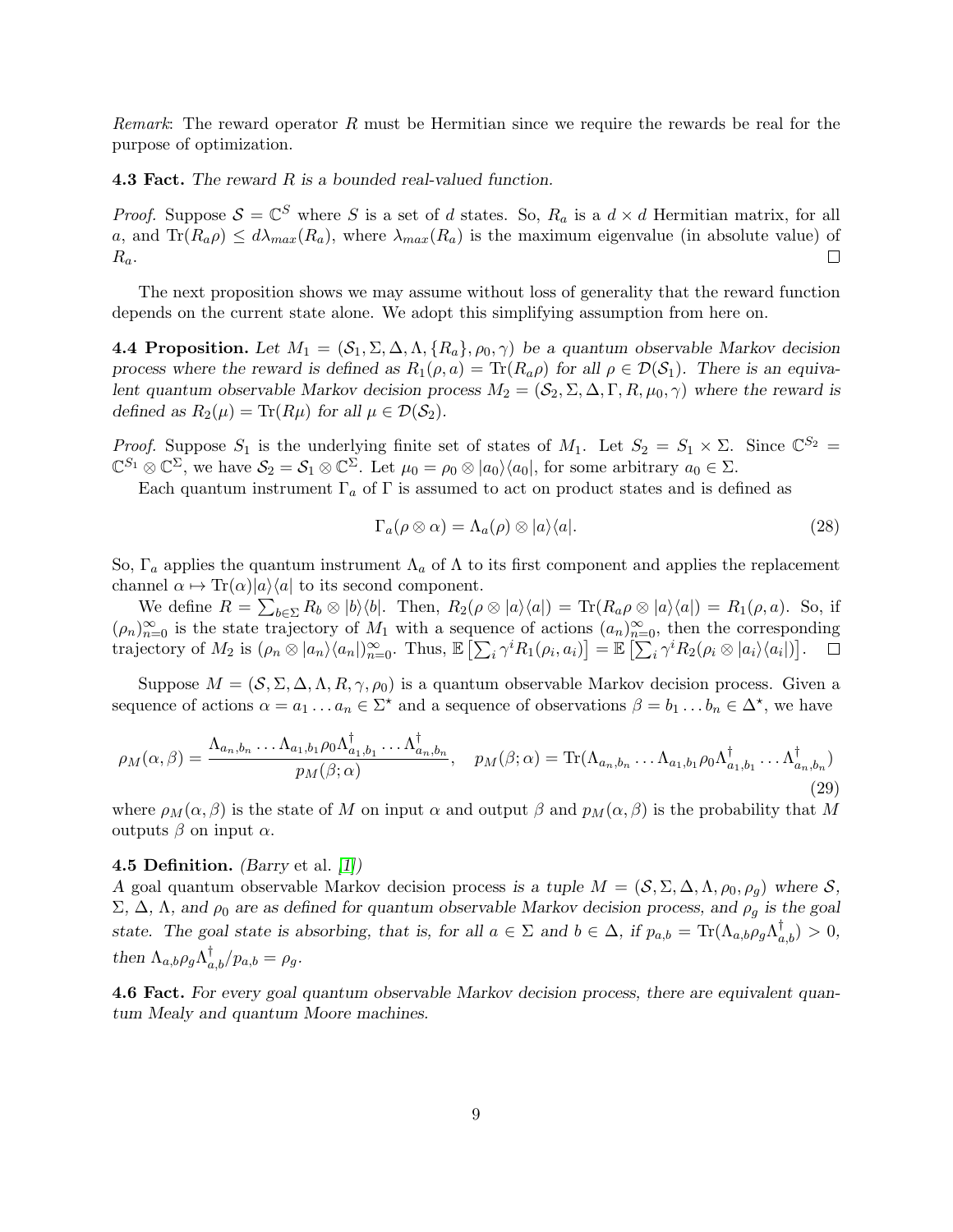Remark: The reward operator R must be Hermitian since we require the rewards be real for the purpose of optimization.

**4.3 Fact.** The reward R is a bounded real-valued function.

*Proof.* Suppose  $S = \mathbb{C}^S$  where S is a set of d states. So,  $R_a$  is a  $d \times d$  Hermitian matrix, for all a, and  $\text{Tr}(R_a \rho) \leq d\lambda_{max}(R_a)$ , where  $\lambda_{max}(R_a)$  is the maximum eigenvalue (in absolute value) of  $\Box$  $R_a$ .

The next proposition shows we may assume without loss of generality that the reward function depends on the current state alone. We adopt this simplifying assumption from here on.

**4.4 Proposition.** Let  $M_1 = (\mathcal{S}_1, \Sigma, \Delta, \Lambda, \{R_a\}, \rho_0, \gamma)$  be a quantum observable Markov decision process where the reward is defined as  $R_1(\rho, a) = \text{Tr}(R_a \rho)$  for all  $\rho \in \mathcal{D}(\mathcal{S}_1)$ . There is an equivalent quantum observable Markov decision process  $M_2 = (S_2, \Sigma, \Delta, \Gamma, R, \mu_0, \gamma)$  where the reward is defined as  $R_2(\mu) = \text{Tr}(R\mu)$  for all  $\mu \in \mathcal{D}(\mathcal{S}_2)$ .

*Proof.* Suppose  $S_1$  is the underlying finite set of states of  $M_1$ . Let  $S_2 = S_1 \times \Sigma$ . Since  $\mathbb{C}^{S_2}$  $\mathbb{C}^{S_1} \otimes \mathbb{C}^{\Sigma}$ , we have  $\mathcal{S}_2 = \mathcal{S}_1 \otimes \mathbb{C}^{\Sigma}$ . Let  $\mu_0 = \rho_0 \otimes |a_0\rangle \langle a_0|$ , for some arbitrary  $a_0 \in \Sigma$ .

Each quantum instrument  $\Gamma_a$  of  $\Gamma$  is assumed to act on product states and is defined as

$$
\Gamma_a(\rho \otimes \alpha) = \Lambda_a(\rho) \otimes |a\rangle\langle a|.
$$
 (28)

So,  $\Gamma_a$  applies the quantum instrument  $\Lambda_a$  of  $\Lambda$  to its first component and applies the replacement channel  $\alpha \mapsto \text{Tr}(\alpha)|a\rangle\langle a|$  to its second component.

We define  $R = \sum_{b \in \Sigma} R_b \otimes |b\rangle\langle b|$ . Then,  $R_2(\rho \otimes |a\rangle\langle a|) = \text{Tr}(R_a \rho \otimes |a\rangle\langle a|) = R_1(\rho, a)$ . So, if  $(\rho_n)_{n=0}^{\infty}$  is the state trajectory of  $M_1$  with a sequence of actions  $(a_n)_{n=0}^{\infty}$ , then the corresponding trajectory of  $M_2$  is  $(\rho_n \otimes |a_n\rangle\langle a_n|)_{n=0}^{\infty}$ . Thus,  $\mathbb{E}\left[\sum_i \gamma^i R_1(\rho_i, a_i)\right] = \mathbb{E}\left[\sum_i \gamma^i R_2(\rho_i \otimes |a_i\rangle\langle a_i|)\right]$ .

Suppose  $M = (\mathcal{S}, \Sigma, \Delta, \Lambda, R, \gamma, \rho_0)$  is a quantum observable Markov decision process. Given a sequence of actions  $\alpha = a_1 \dots a_n \in \Sigma^*$  and a sequence of observations  $\beta = b_1 \dots b_n \in \Delta^*$ , we have

$$
\rho_M(\alpha,\beta) = \frac{\Lambda_{a_n,b_n} \dots \Lambda_{a_1,b_1} \rho_0 \Lambda_{a_1,b_1}^{\dagger} \dots \Lambda_{a_n,b_n}^{\dagger}}{p_M(\beta;\alpha)}, \quad p_M(\beta;\alpha) = \text{Tr}(\Lambda_{a_n,b_n} \dots \Lambda_{a_1,b_1} \rho_0 \Lambda_{a_1,b_1}^{\dagger} \dots \Lambda_{a_n,b_n}^{\dagger})
$$
\n(29)

where  $\rho_M(\alpha, \beta)$  is the state of M on input  $\alpha$  and output  $\beta$  and  $p_M(\alpha, \beta)$  is the probability that M outputs  $β$  on input  $α$ .

#### <span id="page-8-0"></span>**4.5 Definition.** (Barry et al.  $[1]$ )

A goal quantum observable Markov decision process is a tuple  $M = (S, \Sigma, \Delta, \Lambda, \rho_0, \rho_q)$  where S,  $\Sigma$ , Δ, Λ, and  $ρ_0$  are as defined for quantum observable Markov decision process, and  $ρ_q$  is the goal state. The goal state is absorbing, that is, for all  $a \in \Sigma$  and  $b \in \Delta$ , if  $p_{a,b} = \text{Tr}(\Lambda_{a,b}\rho_g\Lambda_{a,b}^{\dagger}) > 0$ , then  $\Lambda_{a,b}\rho_g\Lambda_{a,b}^{\dagger}/p_{a,b}=\rho_g$ .

4.6 Fact. For every goal quantum observable Markov decision process, there are equivalent quantum Mealy and quantum Moore machines.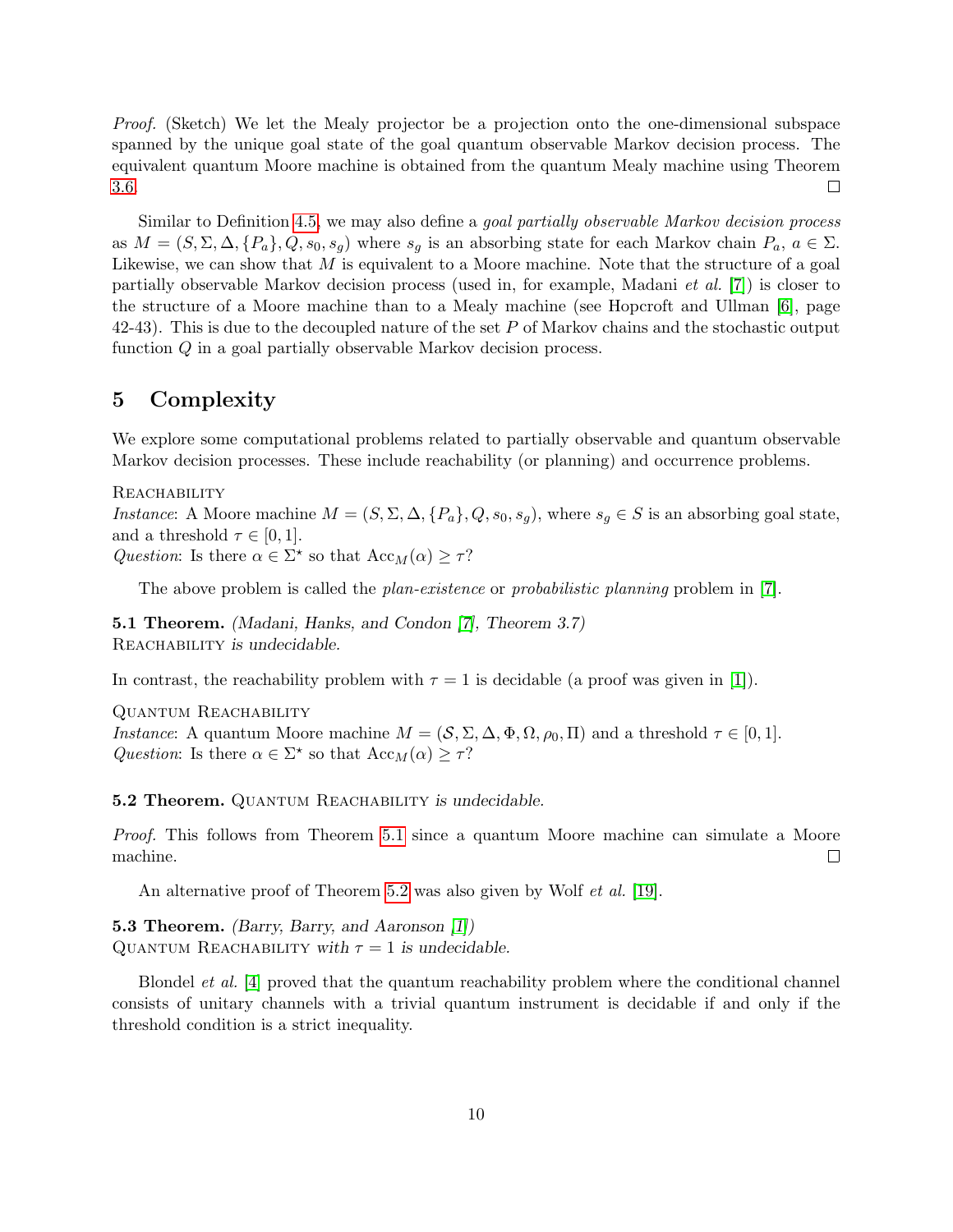Proof. (Sketch) We let the Mealy projector be a projection onto the one-dimensional subspace spanned by the unique goal state of the goal quantum observable Markov decision process. The equivalent quantum Moore machine is obtained from the quantum Mealy machine using Theorem [3.6.](#page-7-1)  $\Box$ 

Similar to Definition [4.5,](#page-8-0) we may also define a *goal partially observable Markov decision process* as  $M = (S, \Sigma, \Delta, \{P_a\}, Q, s_0, s_q)$  where  $s_q$  is an absorbing state for each Markov chain  $P_a, a \in \Sigma$ . Likewise, we can show that  $M$  is equivalent to a Moore machine. Note that the structure of a goal partially observable Markov decision process (used in, for example, Madani et al. [\[7\]](#page-14-5)) is closer to the structure of a Moore machine than to a Mealy machine (see Hopcroft and Ullman [\[6\]](#page-14-7), page 42-43). This is due to the decoupled nature of the set P of Markov chains and the stochastic output function Q in a goal partially observable Markov decision process.

### 5 Complexity

We explore some computational problems related to partially observable and quantum observable Markov decision processes. These include reachability (or planning) and occurrence problems.

REACHABILITY Instance: A Moore machine  $M = (S, \Sigma, \Delta, \{P_a\}, Q, s_0, s_g)$ , where  $s_g \in S$  is an absorbing goal state, and a threshold  $\tau \in [0,1]$ . Question: Is there  $\alpha \in \Sigma^*$  so that  $Acc_M(\alpha) \geq \tau$ ?

The above problem is called the *plan-existence* or *probabilistic planning* problem in [\[7\]](#page-14-5).

<span id="page-9-0"></span>5.1 Theorem. (Madani, Hanks, and Condon [\[7\]](#page-14-5), Theorem 3.7) REACHABILITY is undecidable.

In contrast, the reachability problem with  $\tau = 1$  is decidable (a proof was given in [\[1\]](#page-14-4)).

Quantum Reachability Instance: A quantum Moore machine  $M = (\mathcal{S}, \Sigma, \Delta, \Phi, \Omega, \rho_0, \Pi)$  and a threshold  $\tau \in [0, 1]$ . Question: Is there  $\alpha \in \Sigma^*$  so that  $Acc_M(\alpha) \geq \tau$ ?

<span id="page-9-1"></span>**5.2 Theorem.** QUANTUM REACHABILITY is undecidable.

Proof. This follows from Theorem [5.1](#page-9-0) since a quantum Moore machine can simulate a Moore machine.  $\Box$ 

An alternative proof of Theorem [5.2](#page-9-1) was also given by Wolf *et al.* [\[19\]](#page-15-6).

5.3 Theorem. (Barry, Barry, and Aaronson [\[1\]](#page-14-4)) QUANTUM REACHABILITY with  $\tau = 1$  is undecidable.

Blondel et al. [\[4\]](#page-14-10) proved that the quantum reachability problem where the conditional channel consists of unitary channels with a trivial quantum instrument is decidable if and only if the threshold condition is a strict inequality.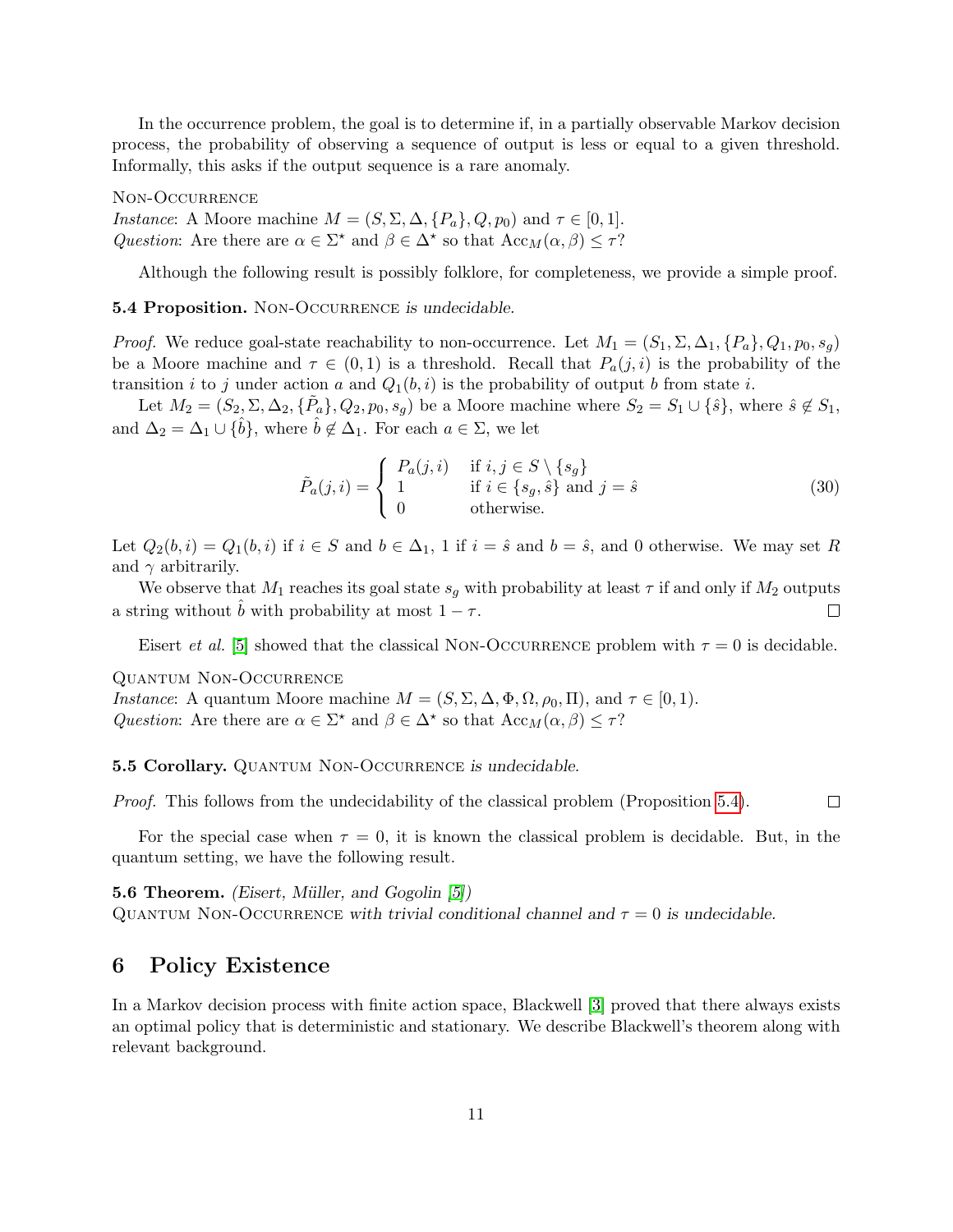In the occurrence problem, the goal is to determine if, in a partially observable Markov decision process, the probability of observing a sequence of output is less or equal to a given threshold. Informally, this asks if the output sequence is a rare anomaly.

Non-Occurrence *Instance*: A Moore machine  $M = (S, \Sigma, \Delta, \{P_a\}, Q, p_0)$  and  $\tau \in [0, 1]$ . Question: Are there are  $\alpha \in \Sigma^*$  and  $\beta \in \Delta^*$  so that  $Acc_M(\alpha, \beta) \leq \tau$ ?

Although the following result is possibly folklore, for completeness, we provide a simple proof.

#### <span id="page-10-0"></span>**5.4 Proposition.** NON-OCCURRENCE is undecidable.

*Proof.* We reduce goal-state reachability to non-occurrence. Let  $M_1 = (S_1, \Sigma, \Delta_1, \{P_a\}, Q_1, p_0, s_q)$ be a Moore machine and  $\tau \in (0,1)$  is a threshold. Recall that  $P_a(j,i)$  is the probability of the transition i to j under action a and  $Q_1(b, i)$  is the probability of output b from state i.

Let  $M_2 = (S_2, \Sigma, \Delta_2, \{\tilde{P}_a\}, Q_2, p_0, s_g)$  be a Moore machine where  $S_2 = S_1 \cup \{\hat{s}\}\$ , where  $\hat{s} \notin S_1$ , and  $\Delta_2 = \Delta_1 \cup {\hat{b}}$ , where  $\hat{b} \notin \Delta_1$ . For each  $a \in \Sigma$ , we let

$$
\tilde{P}_a(j,i) = \begin{cases}\nP_a(j,i) & \text{if } i, j \in S \setminus \{s_g\} \\
1 & \text{if } i \in \{s_g, \hat{s}\} \text{ and } j = \hat{s} \\
0 & \text{otherwise.}\n\end{cases}
$$
\n(30)

Let  $Q_2(b, i) = Q_1(b, i)$  if  $i \in S$  and  $b \in \Delta_1$ , 1 if  $i = \hat{s}$  and  $b = \hat{s}$ , and 0 otherwise. We may set R and  $\gamma$  arbitrarily.

We observe that  $M_1$  reaches its goal state  $s_g$  with probability at least  $\tau$  if and only if  $M_2$  outputs a string without  $\ddot{b}$  with probability at most  $1 - \tau$ .  $\Box$ 

Eisert *et al.* [\[5\]](#page-14-6) showed that the classical NON-OCCURRENCE problem with  $\tau = 0$  is decidable.

Quantum Non-Occurrence

*Instance*: A quantum Moore machine  $M = (S, \Sigma, \Delta, \Phi, \Omega, \rho_0, \Pi)$ , and  $\tau \in [0, 1)$ . Question: Are there are  $\alpha \in \Sigma^*$  and  $\beta \in \Delta^*$  so that  $Acc_M(\alpha, \beta) \leq \tau$ ?

**5.5 Corollary.** QUANTUM NON-OCCURRENCE is undecidable.

 $\Box$ Proof. This follows from the undecidability of the classical problem (Proposition [5.4\)](#page-10-0).

For the special case when  $\tau = 0$ , it is known the classical problem is decidable. But, in the quantum setting, we have the following result.

**5.6 Theorem.** (Eisert, Müller, and Gogolin [\[5\]](#page-14-6)) QUANTUM NON-OCCURRENCE with trivial conditional channel and  $\tau = 0$  is undecidable.

### 6 Policy Existence

In a Markov decision process with finite action space, Blackwell [\[3\]](#page-14-0) proved that there always exists an optimal policy that is deterministic and stationary. We describe Blackwell's theorem along with relevant background.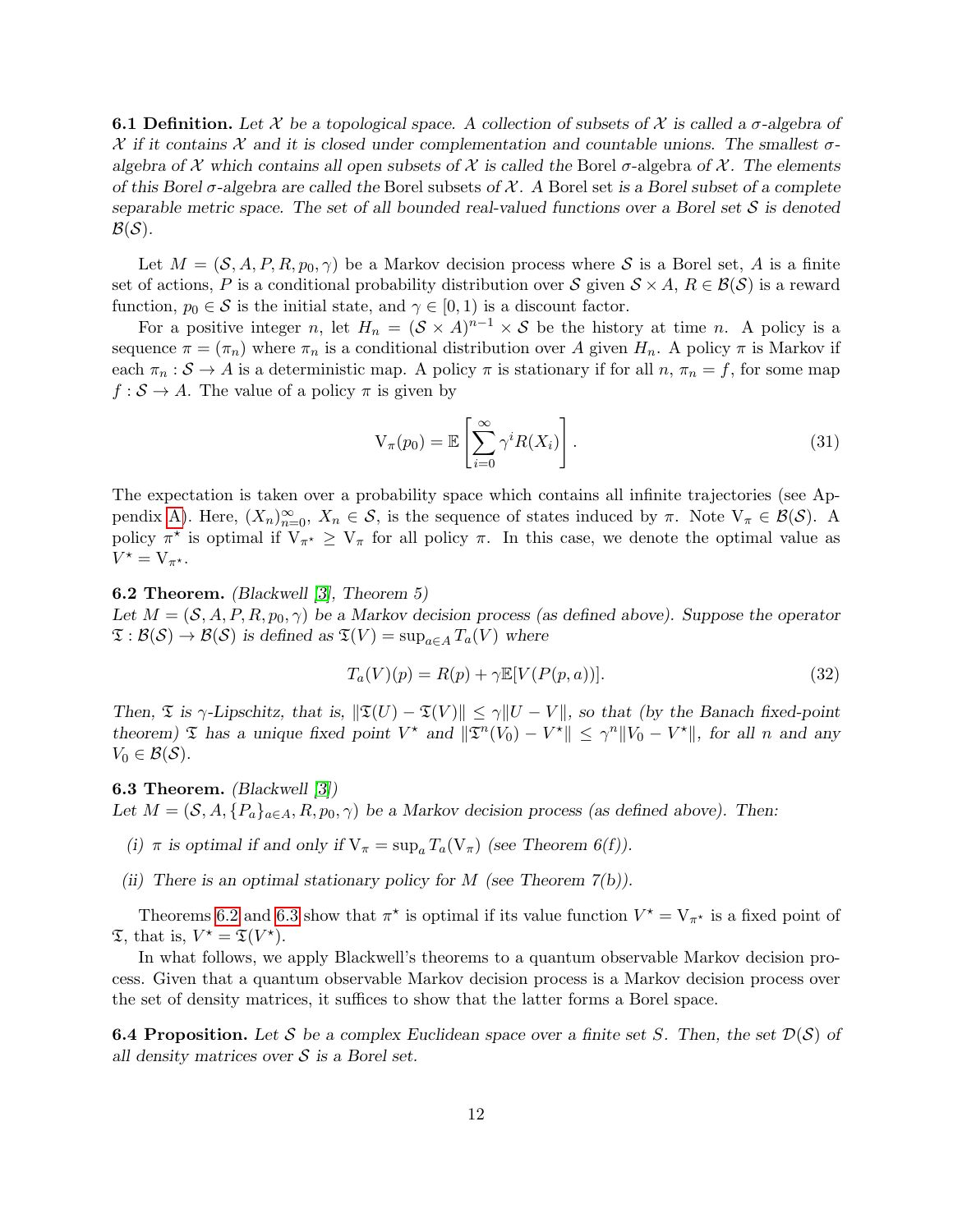**6.1 Definition.** Let X be a topological space. A collection of subsets of X is called a  $\sigma$ -algebra of  $\mathcal X$  if it contains  $\mathcal X$  and it is closed under complementation and countable unions. The smallest  $\sigma$ algebra of X which contains all open subsets of X is called the Borel  $\sigma$ -algebra of X. The elements of this Borel  $\sigma$ -algebra are called the Borel subsets of X. A Borel set is a Borel subset of a complete separable metric space. The set of all bounded real-valued functions over a Borel set  $S$  is denoted  $\mathcal{B}(\mathcal{S})$ .

Let  $M = (\mathcal{S}, A, P, R, p_0, \gamma)$  be a Markov decision process where S is a Borel set, A is a finite set of actions, P is a conditional probability distribution over S given  $S \times A$ ,  $R \in \mathcal{B}(\mathcal{S})$  is a reward function,  $p_0 \in \mathcal{S}$  is the initial state, and  $\gamma \in [0, 1)$  is a discount factor.

For a positive integer n, let  $H_n = (\mathcal{S} \times A)^{n-1} \times \mathcal{S}$  be the history at time n. A policy is a sequence  $\pi = (\pi_n)$  where  $\pi_n$  is a conditional distribution over A given  $H_n$ . A policy  $\pi$  is Markov if each  $\pi_n : \mathcal{S} \to A$  is a deterministic map. A policy  $\pi$  is stationary if for all  $n, \pi_n = f$ , for some map  $f : \mathcal{S} \to A$ . The value of a policy  $\pi$  is given by

$$
V_{\pi}(p_0) = \mathbb{E}\left[\sum_{i=0}^{\infty} \gamma^i R(X_i)\right].
$$
\n(31)

The expectation is taken over a probability space which contains all infinite trajectories (see Ap-pendix [A\)](#page-16-0). Here,  $(X_n)_{n=0}^{\infty}$ ,  $X_n \in S$ , is the sequence of states induced by  $\pi$ . Note  $V_{\pi} \in \mathcal{B}(\mathcal{S})$ . A policy  $\pi^*$  is optimal if  $V_{\pi^*} \geq V_{\pi}$  for all policy  $\pi$ . In this case, we denote the optimal value as  $V^{\star} = V_{\pi^{\star}}.$ 

<span id="page-11-0"></span>6.2 Theorem. (Blackwell [\[3\]](#page-14-0), Theorem 5)

Let  $M = (\mathcal{S}, A, P, R, p_0, \gamma)$  be a Markov decision process (as defined above). Suppose the operator  $\mathfrak{T}: \mathcal{B}(\mathcal{S}) \to \mathcal{B}(\mathcal{S})$  is defined as  $\mathfrak{T}(V) = \sup_{a \in A} T_a(V)$  where

$$
T_a(V)(p) = R(p) + \gamma \mathbb{E}[V(P(p, a))]. \tag{32}
$$

Then,  $\mathfrak T$  is  $\gamma$ -Lipschitz, that is,  $\|\mathfrak T(U) - \mathfrak T(V)\| \leq \gamma \|U - V\|$ , so that (by the Banach fixed-point theorem)  $\mathfrak T$  has a unique fixed point  $V^*$  and  $\|\mathfrak T^n(V_0) - V^*\| \leq \gamma^n \|V_0 - V^*\|$ , for all n and any  $V_0 \in \mathcal{B}(\mathcal{S}).$ 

<span id="page-11-1"></span>6.3 Theorem. (Blackwell [\[3\]](#page-14-0)) Let  $M = (\mathcal{S}, A, \{P_a\}_{a \in A}, R, p_0, \gamma)$  be a Markov decision process (as defined above). Then:

- (i)  $\pi$  is optimal if and only if  $V_{\pi} = \sup_{a} T_a(V_{\pi})$  (see Theorem 6(f)).
- (ii) There is an optimal stationary policy for  $M$  (see Theorem 7(b)).

Theorems [6.2](#page-11-0) and [6.3](#page-11-1) show that  $\pi^*$  is optimal if its value function  $V^* = V_{\pi^*}$  is a fixed point of  $\mathfrak{T}$ , that is,  $V^* = \mathfrak{T}(V^*)$ .

In what follows, we apply Blackwell's theorems to a quantum observable Markov decision process. Given that a quantum observable Markov decision process is a Markov decision process over the set of density matrices, it suffices to show that the latter forms a Borel space.

<span id="page-11-2"></span>**6.4 Proposition.** Let S be a complex Euclidean space over a finite set S. Then, the set  $\mathcal{D}(\mathcal{S})$  of all density matrices over  $S$  is a Borel set.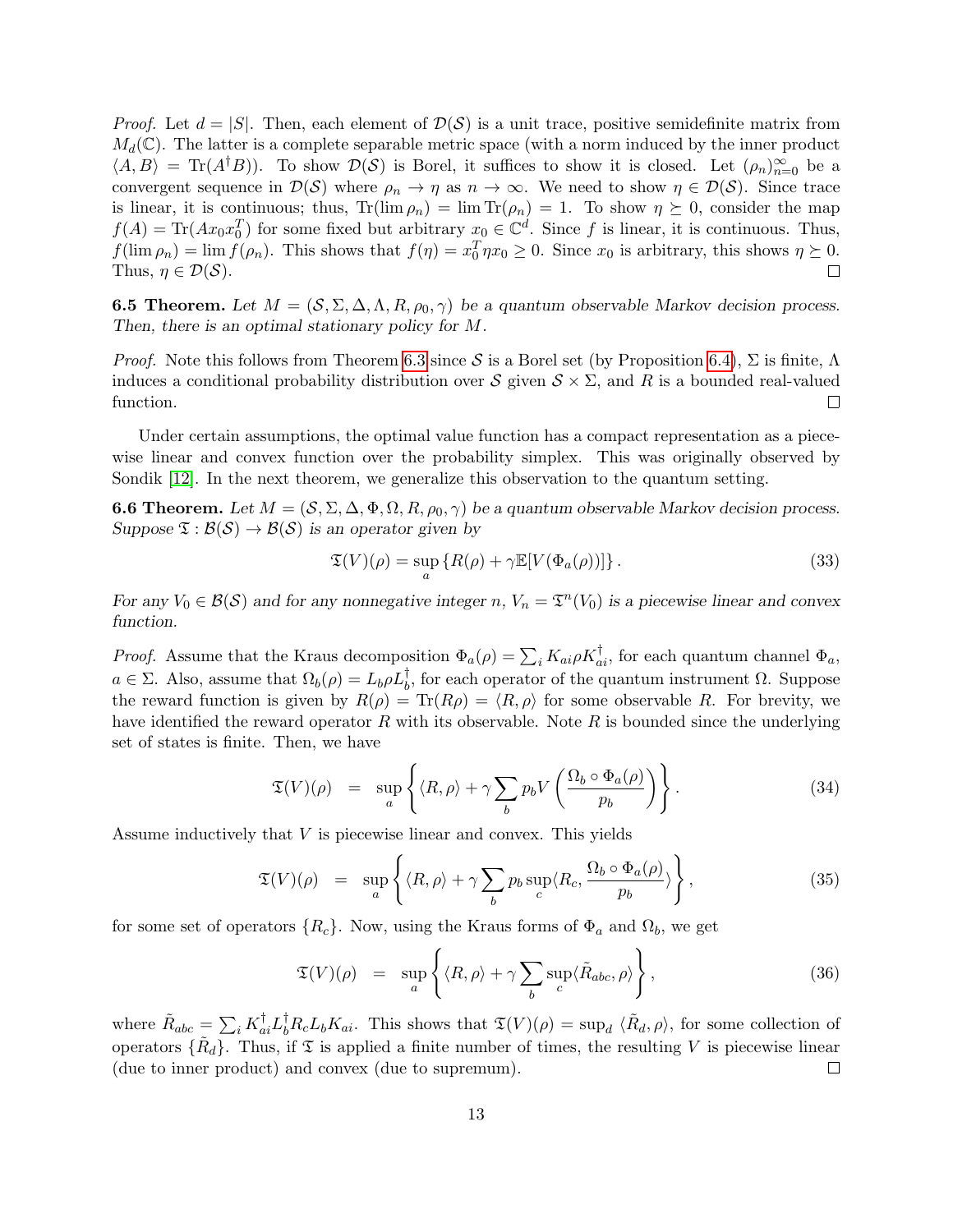*Proof.* Let  $d = |S|$ . Then, each element of  $\mathcal{D}(\mathcal{S})$  is a unit trace, positive semidefinite matrix from  $M_d(\mathbb{C})$ . The latter is a complete separable metric space (with a norm induced by the inner product  $\langle A, B \rangle = \text{Tr}(A^{\dagger}B)$ . To show  $\mathcal{D}(\mathcal{S})$  is Borel, it suffices to show it is closed. Let  $(\rho_n)_{n=0}^{\infty}$  be a convergent sequence in  $\mathcal{D}(\mathcal{S})$  where  $\rho_n \to \eta$  as  $n \to \infty$ . We need to show  $\eta \in \mathcal{D}(\mathcal{S})$ . Since trace is linear, it is continuous; thus,  $\text{Tr}(\lim \rho_n) = \lim \text{Tr}(\rho_n) = 1$ . To show  $\eta \succeq 0$ , consider the map  $f(A) = \text{Tr}(Ax_0x_0^T)$  for some fixed but arbitrary  $x_0 \in \mathbb{C}^d$ . Since f is linear, it is continuous. Thus,  $f(\lim \rho_n) = \lim f(\rho_n)$ . This shows that  $f(\eta) = x_0^T \eta x_0 \ge 0$ . Since  $x_0$  is arbitrary, this shows  $\eta \succeq 0$ . Thus,  $\eta \in \mathcal{D}(\mathcal{S})$ .  $\Box$ 

**6.5 Theorem.** Let  $M = (\mathcal{S}, \Sigma, \Delta, \Lambda, R, \rho_0, \gamma)$  be a quantum observable Markov decision process. Then, there is an optimal stationary policy for M.

*Proof.* Note this follows from Theorem [6.3](#page-11-1) since S is a Borel set (by Proposition [6.4\)](#page-11-2),  $\Sigma$  is finite,  $\Lambda$ induces a conditional probability distribution over  $S$  given  $S \times \Sigma$ , and R is a bounded real-valued function.  $\Box$ 

Under certain assumptions, the optimal value function has a compact representation as a piecewise linear and convex function over the probability simplex. This was originally observed by Sondik [\[12\]](#page-14-1). In the next theorem, we generalize this observation to the quantum setting.

<span id="page-12-0"></span>**6.6 Theorem.** Let  $M = (\mathcal{S}, \Sigma, \Delta, \Phi, \Omega, R, \rho_0, \gamma)$  be a quantum observable Markov decision process. Suppose  $\mathfrak{T} : \mathcal{B}(\mathcal{S}) \to \mathcal{B}(\mathcal{S})$  is an operator given by

$$
\mathfrak{T}(V)(\rho) = \sup_{a} \{ R(\rho) + \gamma \mathbb{E}[V(\Phi_a(\rho))] \}.
$$
 (33)

For any  $V_0 \in \mathcal{B}(\mathcal{S})$  and for any nonnegative integer n,  $V_n = \mathfrak{T}^n(V_0)$  is a piecewise linear and convex function.

*Proof.* Assume that the Kraus decomposition  $\Phi_a(\rho) = \sum_i K_{ai} \rho K_{ai}^{\dagger}$ , for each quantum channel  $\Phi_a$ ,  $a \in \Sigma$ . Also, assume that  $\Omega_b(\rho) = L_b \rho L_b^{\dagger}$ , for each operator of the quantum instrument  $\Omega$ . Suppose the reward function is given by  $R(\rho) = \text{Tr}(R\rho) = \langle R, \rho \rangle$  for some observable R. For brevity, we have identified the reward operator R with its observable. Note R is bounded since the underlying set of states is finite. Then, we have

$$
\mathfrak{T}(V)(\rho) = \sup_{a} \left\{ \langle R, \rho \rangle + \gamma \sum_{b} p_b V \left( \frac{\Omega_b \circ \Phi_a(\rho)}{p_b} \right) \right\}.
$$
 (34)

Assume inductively that V is piecewise linear and convex. This yields

$$
\mathfrak{T}(V)(\rho) = \sup_{a} \left\{ \langle R, \rho \rangle + \gamma \sum_{b} p_b \sup_{c} \langle R_c, \frac{\Omega_b \circ \Phi_a(\rho)}{p_b} \rangle \right\},\tag{35}
$$

for some set of operators  $\{R_c\}$ . Now, using the Kraus forms of  $\Phi_a$  and  $\Omega_b$ , we get

$$
\mathfrak{T}(V)(\rho) = \sup_{a} \left\{ \langle R, \rho \rangle + \gamma \sum_{b} \sup_{c} \langle \tilde{R}_{abc}, \rho \rangle \right\},\tag{36}
$$

where  $\tilde{R}_{abc} = \sum_i K_{ai}^{\dagger} L_b^{\dagger} R_c L_b K_{ai}$ . This shows that  $\mathfrak{T}(V)(\rho) = \sup_d \langle \tilde{R}_d, \rho \rangle$ , for some collection of operators  $\{\tilde{R}_d\}$ . Thus, if  $\mathfrak T$  is applied a finite number of times, the resulting V is piecewise linear (due to inner product) and convex (due to supremum).  $\Box$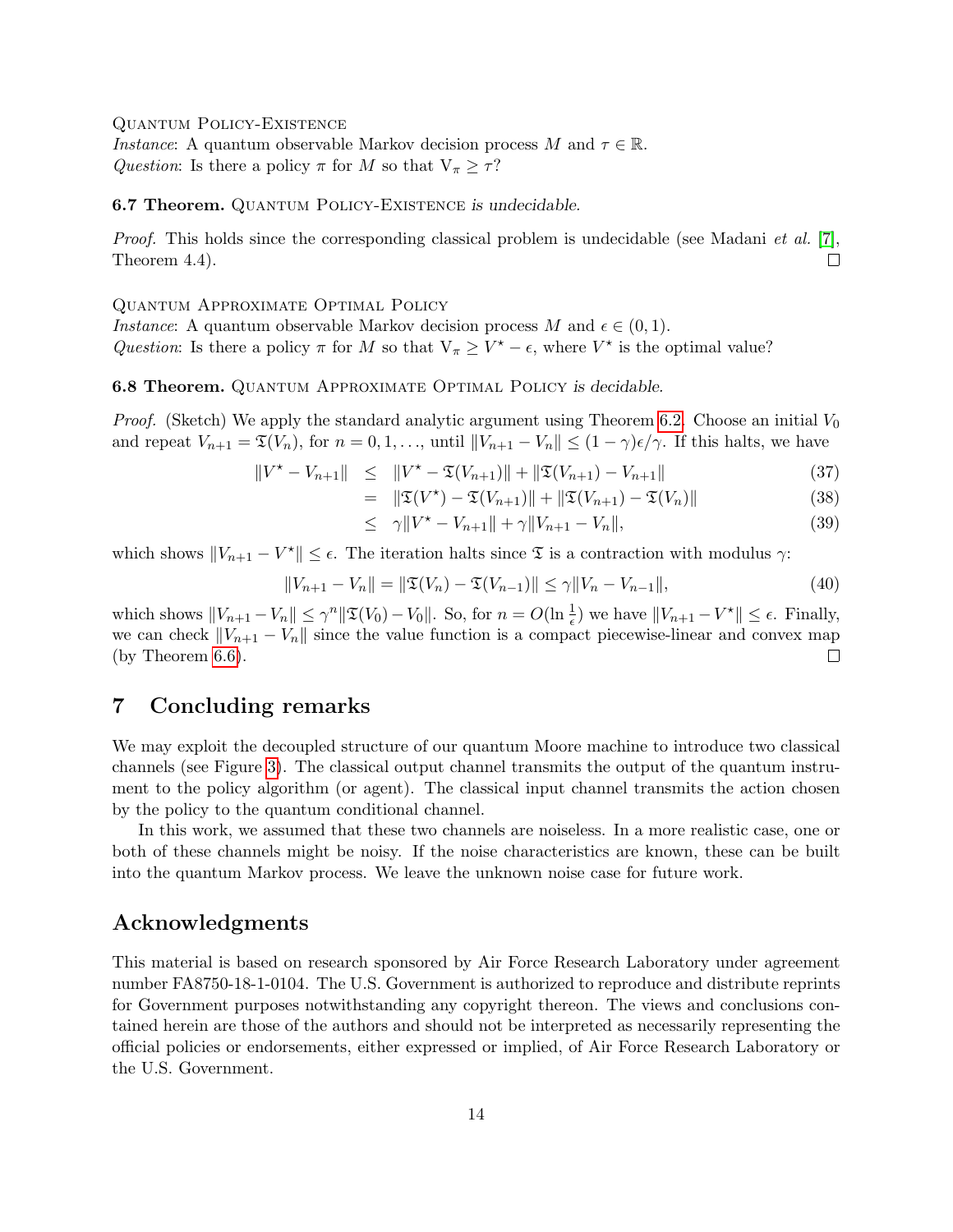Quantum Policy-Existence

*Instance*: A quantum observable Markov decision process M and  $\tau \in \mathbb{R}$ . Question: Is there a policy  $\pi$  for M so that  $V_{\pi} \geq \tau$ ?

6.7 Theorem. QUANTUM POLICY-EXISTENCE is undecidable.

*Proof.* This holds since the corresponding classical problem is undecidable (see Madani *et al.* [\[7\]](#page-14-5), Theorem 4.4).  $\Box$ 

Quantum Approximate Optimal Policy

*Instance*: A quantum observable Markov decision process M and  $\epsilon \in (0,1)$ . Question: Is there a policy  $\pi$  for M so that  $V_{\pi} \geq V^* - \epsilon$ , where  $V^*$  is the optimal value?

<span id="page-13-0"></span>6.8 Theorem. Quantum Approximate Optimal Policy is decidable.

*Proof.* (Sketch) We apply the standard analytic argument using Theorem [6.2.](#page-11-0) Choose an initial  $V_0$ and repeat  $V_{n+1} = \mathfrak{T}(V_n)$ , for  $n = 0, 1, \ldots$ , until  $||V_{n+1} - V_n|| \leq (1 - \gamma)\epsilon/\gamma$ . If this halts, we have

$$
||V^* - V_{n+1}|| \le ||V^* - \mathfrak{T}(V_{n+1})|| + ||\mathfrak{T}(V_{n+1}) - V_{n+1}|| \tag{37}
$$

$$
= \| \mathfrak{T}(V^*) - \mathfrak{T}(V_{n+1}) \| + \| \mathfrak{T}(V_{n+1}) - \mathfrak{T}(V_n) \| \tag{38}
$$

$$
\leq \quad \gamma \| V^* - V_{n+1} \| + \gamma \| V_{n+1} - V_n \|, \tag{39}
$$

which shows  $||V_{n+1} - V^*|| \leq \epsilon$ . The iteration halts since  $\mathfrak T$  is a contraction with modulus  $\gamma$ :

$$
||V_{n+1} - V_n|| = ||\mathfrak{T}(V_n) - \mathfrak{T}(V_{n-1})|| \le \gamma ||V_n - V_{n-1}||,
$$
\n(40)

which shows  $||V_{n+1} - V_n|| \leq \gamma^n ||\mathfrak{T}(V_0) - V_0||$ . So, for  $n = O(\ln \frac{1}{\epsilon})$  we have  $||V_{n+1} - V^*|| \leq \epsilon$ . Finally, we can check  $||V_{n+1} - V_n||$  since the value function is a compact piecewise-linear and convex map (by Theorem [6.6\)](#page-12-0).  $\Box$ 

# 7 Concluding remarks

We may exploit the decoupled structure of our quantum Moore machine to introduce two classical channels (see Figure [3\)](#page-14-11). The classical output channel transmits the output of the quantum instrument to the policy algorithm (or agent). The classical input channel transmits the action chosen by the policy to the quantum conditional channel.

In this work, we assumed that these two channels are noiseless. In a more realistic case, one or both of these channels might be noisy. If the noise characteristics are known, these can be built into the quantum Markov process. We leave the unknown noise case for future work.

# Acknowledgments

This material is based on research sponsored by Air Force Research Laboratory under agreement number FA8750-18-1-0104. The U.S. Government is authorized to reproduce and distribute reprints for Government purposes notwithstanding any copyright thereon. The views and conclusions contained herein are those of the authors and should not be interpreted as necessarily representing the official policies or endorsements, either expressed or implied, of Air Force Research Laboratory or the U.S. Government.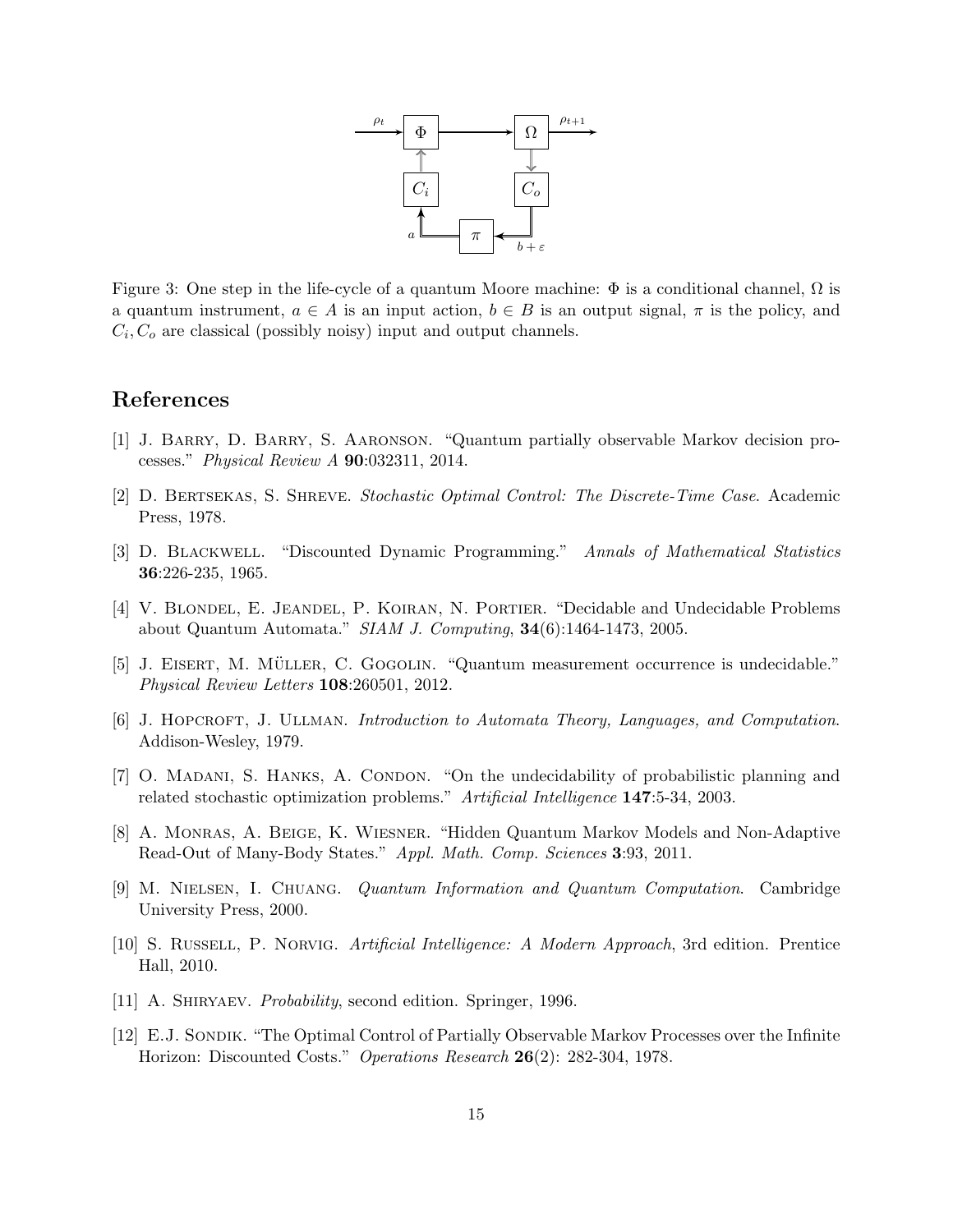

<span id="page-14-11"></span>Figure 3: One step in the life-cycle of a quantum Moore machine:  $\Phi$  is a conditional channel,  $\Omega$  is a quantum instrument,  $a \in A$  is an input action,  $b \in B$  is an output signal,  $\pi$  is the policy, and  $C_i, C_o$  are classical (possibly noisy) input and output channels.

### References

- <span id="page-14-4"></span>[1] J. Barry, D. Barry, S. Aaronson. "Quantum partially observable Markov decision processes." Physical Review A 90:032311, 2014.
- <span id="page-14-2"></span>[2] D. Bertsekas, S. Shreve. Stochastic Optimal Control: The Discrete-Time Case. Academic Press, 1978.
- <span id="page-14-0"></span>[3] D. Blackwell. "Discounted Dynamic Programming." Annals of Mathematical Statistics 36:226-235, 1965.
- <span id="page-14-10"></span>[4] V. BLONDEL, E. JEANDEL, P. KOIRAN, N. PORTIER. "Decidable and Undecidable Problems about Quantum Automata." SIAM J. Computing, 34(6):1464-1473, 2005.
- <span id="page-14-6"></span>[5] J. EISERT, M. MÜLLER, C. GOGOLIN. "Quantum measurement occurrence is undecidable." Physical Review Letters 108:260501, 2012.
- <span id="page-14-7"></span>[6] J. HOPCROFT, J. ULLMAN. Introduction to Automata Theory, Languages, and Computation. Addison-Wesley, 1979.
- <span id="page-14-5"></span>[7] O. MADANI, S. HANKS, A. CONDON. "On the undecidability of probabilistic planning and related stochastic optimization problems." Artificial Intelligence 147:5-34, 2003.
- <span id="page-14-8"></span>[8] A. Monras, A. Beige, K. Wiesner. "Hidden Quantum Markov Models and Non-Adaptive Read-Out of Many-Body States." Appl. Math. Comp. Sciences 3:93, 2011.
- <span id="page-14-9"></span>[9] M. Nielsen, I. Chuang. Quantum Information and Quantum Computation. Cambridge University Press, 2000.
- <span id="page-14-3"></span>[10] S. Russell, P. Norvig. Artificial Intelligence: A Modern Approach, 3rd edition. Prentice Hall, 2010.
- <span id="page-14-12"></span>[11] A. SHIRYAEV. *Probability*, second edition. Springer, 1996.
- <span id="page-14-1"></span>[12] E.J. SONDIK. "The Optimal Control of Partially Observable Markov Processes over the Infinite Horizon: Discounted Costs." Operations Research 26(2): 282-304, 1978.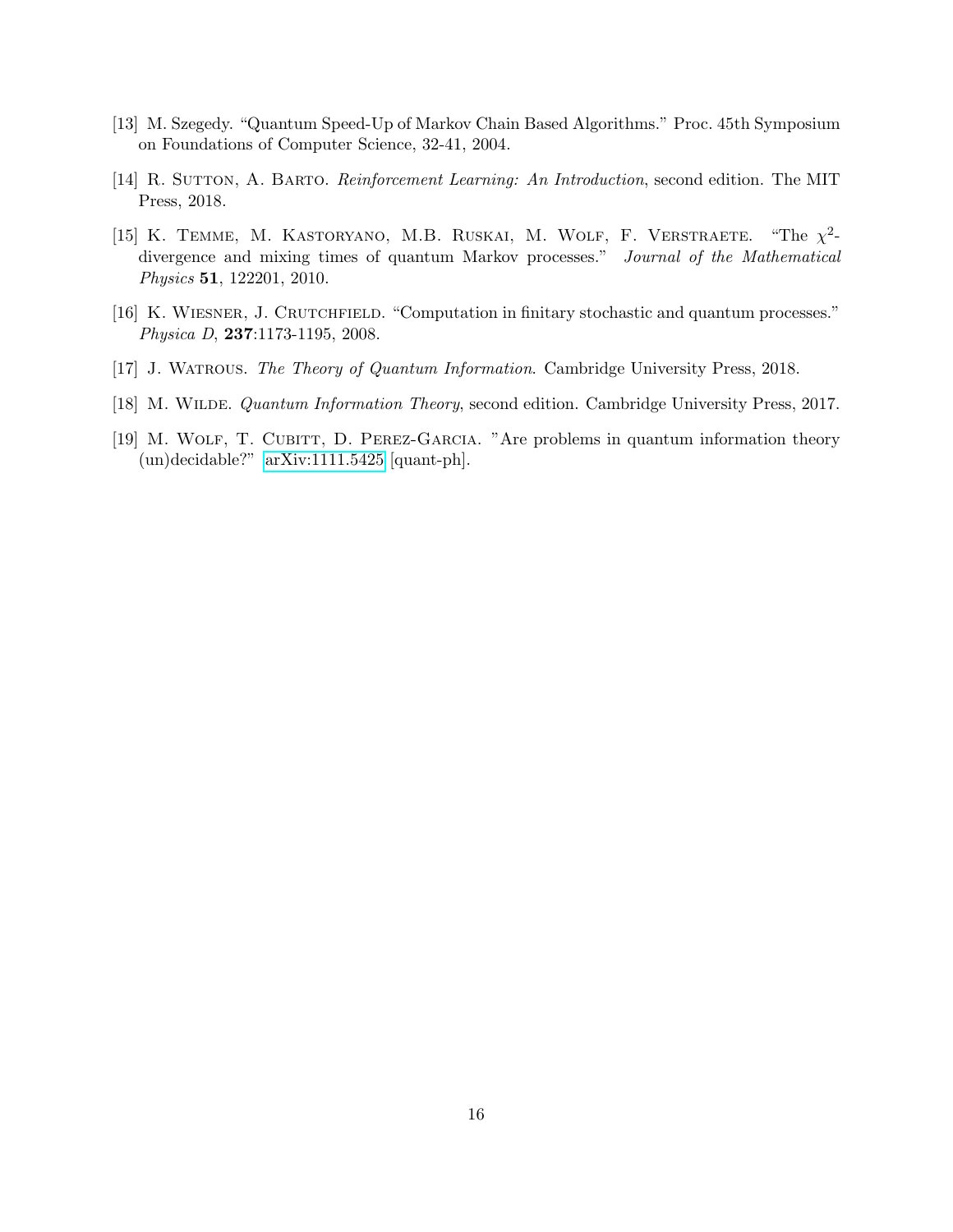- <span id="page-15-1"></span>[13] M. Szegedy. "Quantum Speed-Up of Markov Chain Based Algorithms." Proc. 45th Symposium on Foundations of Computer Science, 32-41, 2004.
- <span id="page-15-0"></span>[14] R. SUTTON, A. BARTO. *Reinforcement Learning: An Introduction*, second edition. The MIT Press, 2018.
- <span id="page-15-2"></span>[15] K. TEMME, M. KASTORYANO, M.B. RUSKAI, M. WOLF, F. VERSTRAETE. 2 divergence and mixing times of quantum Markov processes." Journal of the Mathematical Physics 51, 122201, 2010.
- <span id="page-15-5"></span>[16] K. Wiesner, J. Crutchfield. "Computation in finitary stochastic and quantum processes." Physica D, 237:1173-1195, 2008.
- <span id="page-15-3"></span>[17] J. Watrous. The Theory of Quantum Information. Cambridge University Press, 2018.
- <span id="page-15-4"></span>[18] M. WILDE. *Quantum Information Theory*, second edition. Cambridge University Press, 2017.
- <span id="page-15-6"></span>[19] M. WOLF, T. CUBITT, D. PEREZ-GARCIA. "Are problems in quantum information theory (un)decidable?" [arXiv:1111.5425](http://arxiv.org/abs/1111.5425) [quant-ph].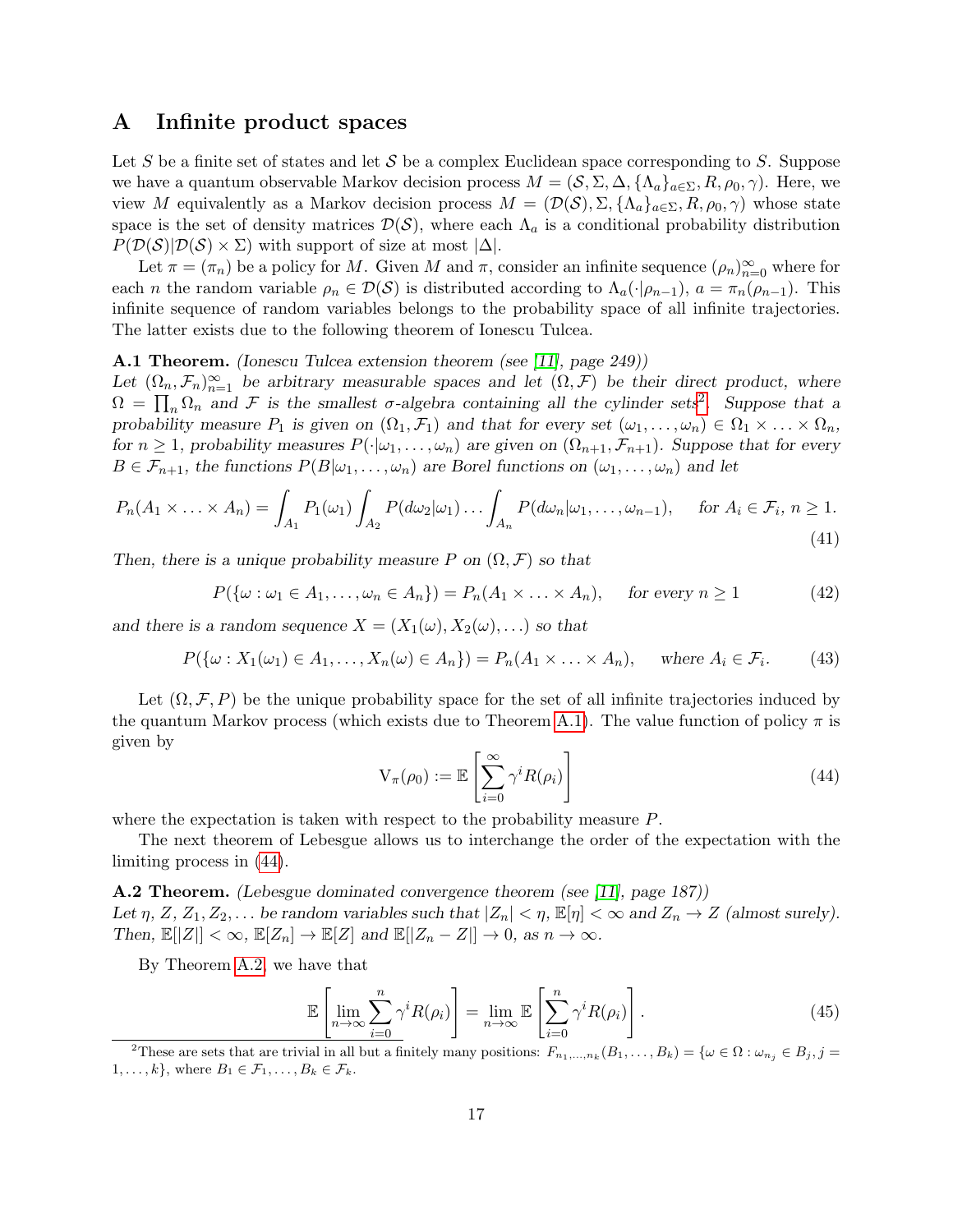# <span id="page-16-0"></span>A Infinite product spaces

Let S be a finite set of states and let  $S$  be a complex Euclidean space corresponding to S. Suppose we have a quantum observable Markov decision process  $M = (S, \Sigma, \Delta, \{\Lambda_a\}_{a \in \Sigma}, R, \rho_0, \gamma)$ . Here, we view M equivalently as a Markov decision process  $M = (\mathcal{D}(\mathcal{S}), \Sigma, {\{\Lambda_a\}_{a \in \Sigma}, R, \rho_0, \gamma})$  whose state space is the set of density matrices  $\mathcal{D}(\mathcal{S})$ , where each  $\Lambda_a$  is a conditional probability distribution  $P(\mathcal{D}(\mathcal{S})|\mathcal{D}(\mathcal{S}) \times \Sigma)$  with support of size at most  $|\Delta|$ .

Let  $\pi = (\pi_n)$  be a policy for M. Given M and  $\pi$ , consider an infinite sequence  $(\rho_n)_{n=0}^{\infty}$  where for each *n* the random variable  $\rho_n \in \mathcal{D}(\mathcal{S})$  is distributed according to  $\Lambda_a(\cdot|\rho_{n-1}), a = \pi_n(\rho_{n-1}).$  This infinite sequence of random variables belongs to the probability space of all infinite trajectories. The latter exists due to the following theorem of Ionescu Tulcea.

#### <span id="page-16-2"></span>A.1 Theorem. (Ionescu Tulcea extension theorem (see [\[11\]](#page-14-12), page 249))

Let  $(\Omega_n, \mathcal{F}_n)_{n=1}^{\infty}$  be arbitrary measurable spaces and let  $(\Omega, \mathcal{F})$  be their direct product, where  $\Omega = \prod_n \Omega_n$  and F is the smallest  $\sigma$ -algebra containing all the cylinder sets<sup>[2](#page-16-1)</sup>. Suppose that a probability measure  $P_1$  is given on  $(\Omega_1, \mathcal{F}_1)$  and that for every set  $(\omega_1, \ldots, \omega_n) \in \Omega_1 \times \ldots \times \Omega_n$ , for  $n \geq 1$ , probability measures  $P(\cdot|\omega_1,\ldots,\omega_n)$  are given on  $(\Omega_{n+1},\mathcal{F}_{n+1})$ . Suppose that for every  $B \in \mathcal{F}_{n+1}$ , the functions  $P(B|\omega_1,\ldots,\omega_n)$  are Borel functions on  $(\omega_1,\ldots,\omega_n)$  and let

$$
P_n(A_1 \times \ldots \times A_n) = \int_{A_1} P_1(\omega_1) \int_{A_2} P(d\omega_2 | \omega_1) \ldots \int_{A_n} P(d\omega_n | \omega_1, \ldots, \omega_{n-1}), \quad \text{for } A_i \in \mathcal{F}_i, n \ge 1.
$$
\n(41)

Then, there is a unique probability measure P on  $(\Omega, \mathcal{F})$  so that

$$
P(\{\omega : \omega_1 \in A_1, \dots, \omega_n \in A_n\}) = P_n(A_1 \times \dots \times A_n), \quad \text{for every } n \ge 1 \tag{42}
$$

and there is a random sequence  $X = (X_1(\omega), X_2(\omega), ...)$  so that

$$
P(\{\omega : X_1(\omega_1) \in A_1, \dots, X_n(\omega) \in A_n\}) = P_n(A_1 \times \dots \times A_n), \quad \text{where } A_i \in \mathcal{F}_i. \tag{43}
$$

Let  $(\Omega, \mathcal{F}, P)$  be the unique probability space for the set of all infinite trajectories induced by the quantum Markov process (which exists due to Theorem [A.1\)](#page-16-2). The value function of policy  $\pi$  is given by

<span id="page-16-3"></span>
$$
V_{\pi}(\rho_0) := \mathbb{E}\left[\sum_{i=0}^{\infty} \gamma^i R(\rho_i)\right]
$$
\n(44)

where the expectation is taken with respect to the probability measure P.

The next theorem of Lebesgue allows us to interchange the order of the expectation with the limiting process in [\(44\)](#page-16-3).

<span id="page-16-4"></span>A.2 Theorem. (Lebesgue dominated convergence theorem (see [\[11\]](#page-14-12), page 187)) Let  $\eta$ ,  $Z$ ,  $Z_1, Z_2, \ldots$  be random variables such that  $|Z_n| < \eta$ ,  $\mathbb{E}[\eta] < \infty$  and  $Z_n \to Z$  (almost surely). Then,  $\mathbb{E}[|Z|] < \infty$ ,  $\mathbb{E}[Z_n] \to \mathbb{E}[Z]$  and  $\mathbb{E}[|Z_n - Z|] \to 0$ , as  $n \to \infty$ .

By Theorem [A.2,](#page-16-4) we have that

$$
\mathbb{E}\left[\lim_{n\to\infty}\sum_{i=0}^{n}\gamma^{i}R(\rho_{i})\right]=\lim_{n\to\infty}\mathbb{E}\left[\sum_{i=0}^{n}\gamma^{i}R(\rho_{i})\right].
$$
\n(45)

<span id="page-16-1"></span><sup>&</sup>lt;sup>2</sup>These are sets that are trivial in all but a finitely many positions:  $F_{n_1,...,n_k}(B_1,...,B_k) = \{ \omega \in \Omega : \omega_{n_j} \in B_j, j = 1, 2, \ldots, j \in \Omega \}$  $1, \ldots, k$ , where  $B_1 \in \mathcal{F}_1, \ldots, B_k \in \mathcal{F}_k$ .